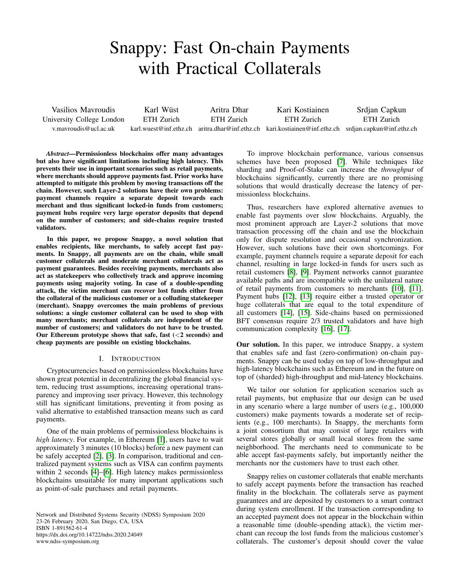# Snappy: Fast On-chain Payments with Practical Collaterals

Vasilios Mavroudis University College London v.mavroudis@ucl.ac.uk Karl Wüst ETH Zurich karl.wuest@inf.ethz.ch aritra.dhar@inf.ethz.ch kari.kostiainen@inf.ethz.ch srdjan.capkun@inf.ethz.ch Aritra Dhar ETH Zurich Kari Kostiainen ETH Zurich Srdjan Capkun ETH Zurich

*Abstract*—Permissionless blockchains offer many advantages but also have significant limitations including high latency. This prevents their use in important scenarios such as retail payments, where merchants should approve payments fast. Prior works have attempted to mitigate this problem by moving transactions off the chain. However, such Layer-2 solutions have their own problems: payment channels require a separate deposit towards each merchant and thus significant locked-in funds from customers; payment hubs require very large operator deposits that depend on the number of customers; and side-chains require trusted validators.

In this paper, we propose Snappy, a novel solution that enables recipients, like merchants, to safely accept fast payments. In Snappy, all payments are on the chain, while small customer collaterals and moderate merchant collaterals act as payment guarantees. Besides receiving payments, merchants also act as statekeepers who collectively track and approve incoming payments using majority voting. In case of a double-spending attack, the victim merchant can recover lost funds either from the collateral of the malicious customer or a colluding statekeeper (merchant). Snappy overcomes the main problems of previous solutions: a single customer collateral can be used to shop with many merchants; merchant collaterals are independent of the number of customers; and validators do not have to be trusted. Our Ethereum prototype shows that safe, fast  $(<2$  seconds) and cheap payments are possible on existing blockchains.

## I. INTRODUCTION

Cryptocurrencies based on permissionless blockchains have shown great potential in decentralizing the global financial system, reducing trust assumptions, increasing operational transparency and improving user privacy. However, this technology still has significant limitations, preventing it from posing as valid alternative to established transaction means such as card payments.

One of the main problems of permissionless blockchains is *high latency*. For example, in Ethereum [\[1\]](#page-13-0), users have to wait approximately 3 minutes (10 blocks) before a new payment can be safely accepted [\[2\]](#page-13-1), [\[3\]](#page-13-2). In comparison, traditional and centralized payment systems such as VISA can confirm payments within 2 seconds [\[4\]](#page-13-3)–[\[6\]](#page-13-4). High latency makes permissionless blockchains unsuitable for many important applications such as point-of-sale purchases and retail payments.

Network and Distributed Systems Security (NDSS) Symposium 2020 23-26 February 2020, San Diego, CA, USA ISBN 1-891562-61-4 https://dx.doi.org/10.14722/ndss.2020.24049 www.ndss-symposium.org

To improve blockchain performance, various consensus schemes have been proposed [\[7\]](#page-13-5). While techniques like sharding and Proof-of-Stake can increase the *throughput* of blockchains significantly, currently there are no promising solutions that would drastically decrease the latency of permissionless blockchains.

Thus, researchers have explored alternative avenues to enable fast payments over slow blockchains. Arguably, the most prominent approach are Layer-2 solutions that move transaction processing off the chain and use the blockchain only for dispute resolution and occasional synchronization. However, such solutions have their own shortcomings. For example, payment channels require a separate deposit for each channel, resulting in large locked-in funds for users such as retail customers [\[8\]](#page-13-6), [\[9\]](#page-13-7). Payment networks cannot guarantee available paths and are incompatible with the unilateral nature of retail payments from customers to merchants [\[10\]](#page-13-8), [\[11\]](#page-13-9). Payment hubs [\[12\]](#page-13-10), [\[13\]](#page-13-11) require either a trusted operator or huge collaterals that are equal to the total expenditure of all customers [\[14\]](#page-14-0), [\[15\]](#page-14-1). Side-chains based on permissioned BFT consensus require 2/3 trusted validators and have high communication complexity [\[16\]](#page-14-2), [\[17\]](#page-14-3).

Our solution. In this paper, we introduce Snappy, a system that enables safe and fast (zero-confirmation) on-chain payments. Snappy can be used today on top of low-throughput and high-latency blockchains such as Ethereum and in the future on top of (sharded) high-throughput and mid-latency blockchains.

We tailor our solution for application scenarios such as retail payments, but emphasize that our design can be used in any scenario where a large number of users (e.g., 100,000 customers) make payments towards a moderate set of recipients (e.g., 100 merchants). In Snappy, the merchants form a joint consortium that may consist of large retailers with several stores globally or small local stores from the same neighborhood. The merchants need to communicate to be able accept fast-payments safely, but importantly neither the merchants nor the customers have to trust each other.

Snappy relies on customer collaterals that enable merchants to safely accept payments before the transaction has reached finality in the blockchain. The collaterals serve as payment guarantees and are deposited by customers to a smart contract during system enrollment. If the transaction corresponding to an accepted payment does not appear in the blockchain within a reasonable time (double-spending attack), the victim merchant can recoup the lost funds from the malicious customer's collaterals. The customer's deposit should cover the value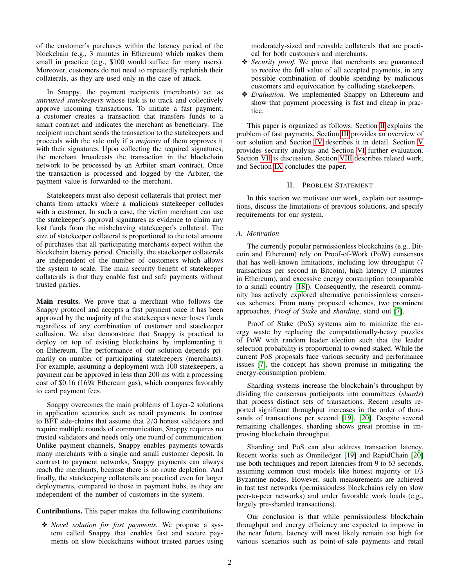of the customer's purchases within the latency period of the blockchain (e.g., 3 minutes in Ethereum) which makes them small in practice (e.g., \$100 would suffice for many users). Moreover, customers do not need to repeatedly replenish their collaterals, as they are used only in the case of attack.

In Snappy, the payment recipients (merchants) act as *untrusted statekeepers* whose task is to track and collectively approve incoming transactions. To initiate a fast payment, a customer creates a transaction that transfers funds to a smart contract and indicates the merchant as beneficiary. The recipient merchant sends the transaction to the statekeepers and proceeds with the sale only if a *majority* of them approves it with their signatures. Upon collecting the required signatures, the merchant broadcasts the transaction in the blockchain network to be processed by an Arbiter smart contract. Once the transaction is processed and logged by the Arbiter, the payment value is forwarded to the merchant.

Statekeepers must also deposit collaterals that protect merchants from attacks where a malicious statekeeper colludes with a customer. In such a case, the victim merchant can use the statekeeper's approval signatures as evidence to claim any lost funds from the misbehaving statekeeper's collateral. The size of statekeeper collateral is proportional to the total amount of purchases that all participating merchants expect within the blockchain latency period. Crucially, the statekeeper collaterals are independent of the number of customers which allows the system to scale. The main security benefit of statekeeper collaterals is that they enable fast and safe payments without trusted parties.

Main results. We prove that a merchant who follows the Snappy protocol and accepts a fast payment once it has been approved by the majority of the statekeepers never loses funds regardless of any combination of customer and statekeeper collusion. We also demonstrate that Snappy is practical to deploy on top of existing blockchains by implementing it on Ethereum. The performance of our solution depends primarily on number of participating statekeepers (merchants). For example, assuming a deployment with 100 statekeepers, a payment can be approved in less than 200 ms with a processing cost of \$0.16 (169k Ethereum gas), which compares favorably to card payment fees.

Snappy overcomes the main problems of Layer-2 solutions in application scenarios such as retail payments. In contrast to BFT side-chains that assume that 2/3 honest validators and require multiple rounds of communication, Snappy requires no trusted validators and needs only one round of communication. Unlike payment channels, Snappy enables payments towards many merchants with a single and small customer deposit. In contrast to payment networks, Snappy payments can always reach the merchants, because there is no route depletion. And finally, the statekeeping collaterals are practical even for larger deployments, compared to those in payment hubs, as they are independent of the number of customers in the system.

Contributions. This paper makes the following contributions:

❖ *Novel solution for fast payments.* We propose a system called Snappy that enables fast and secure payments on slow blockchains without trusted parties using moderately-sized and reusable collaterals that are practical for both customers and merchants.

- ❖ *Security proof.* We prove that merchants are guaranteed to receive the full value of all accepted payments, in any possible combination of double spending by malicious customers and equivocation by colluding statekeepers.
- ❖ *Evaluation.* We implemented Snappy on Ethereum and show that payment processing is fast and cheap in practice.

This paper is organized as follows: Section [II](#page-1-0) explains the problem of fast payments, Section [III](#page-3-0) provides an overview of our solution and Section [IV](#page-4-0) describes it in detail. Section [V](#page-8-0) provides security analysis and Section [VI](#page-9-0) further evaluation. Section [VII](#page-12-0) is discussion, Section [VIII](#page-12-1) describes related work, and Section [IX](#page-13-12) concludes the paper.

### II. PROBLEM STATEMENT

<span id="page-1-0"></span>In this section we motivate our work, explain our assumptions, discuss the limitations of previous solutions, and specify requirements for our system.

## *A. Motivation*

The currently popular permissionless blockchains (e.g., Bitcoin and Ethereum) rely on Proof-of-Work (PoW) consensus that has well-known limitations, including low throughput (7 transactions per second in Bitcoin), high latency (3 minutes in Ethereum), and excessive energy consumption (comparable to a small country [\[18\]](#page-14-4)). Consequently, the research community has actively explored alternative permissionless consensus schemes. From many proposed schemes, two prominent approaches, *Proof of Stake* and *sharding*, stand out [\[7\]](#page-13-5).

Proof of Stake (PoS) systems aim to minimize the energy waste by replacing the computationally-heavy puzzles of PoW with random leader election such that the leader selection probability is proportional to owned staked. While the current PoS proposals face various security and performance issues [\[7\]](#page-13-5), the concept has shown promise in mitigating the energy-consumption problem.

Sharding systems increase the blockchain's throughput by dividing the consensus participants into committees (*shards*) that process distinct sets of transactions. Recent results reported significant throughput increases in the order of thousands of transactions per second [\[19\]](#page-14-5), [\[20\]](#page-14-6). Despite several remaining challenges, sharding shows great promise in improving blockchain throughput.

Sharding and PoS can also address transaction latency. Recent works such as Omniledger [\[19\]](#page-14-5) and RapidChain [\[20\]](#page-14-6) use both techniques and report latencies from 9 to 63 seconds, assuming common trust models like honest majority or 1/3 Byzantine nodes. However, such measurements are achieved in fast test networks (permissionless blockchains rely on slow peer-to-peer networks) and under favorable work loads (e.g., largely pre-sharded transactions).

Our conclusion is that while permissionless blockchain throughput and energy efficiency are expected to improve in the near future, latency will most likely remain too high for various scenarios such as point-of-sale payments and retail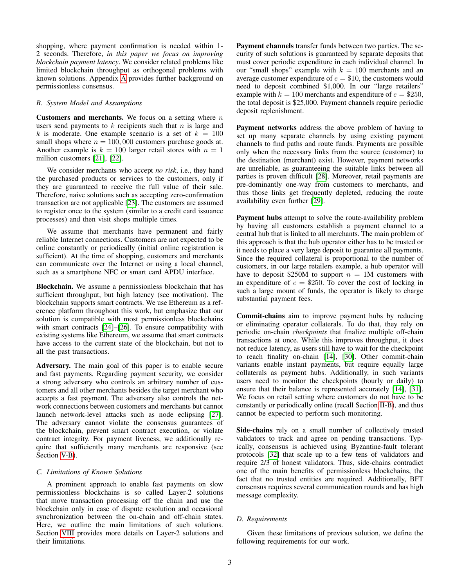shopping, where payment confirmation is needed within 1- 2 seconds. Therefore, *in this paper we focus on improving blockchain payment latency*. We consider related problems like limited blockchain throughput as orthogonal problems with known solutions. Appendix [A](#page-15-0) provides further background on permissionless consensus.

### <span id="page-2-0"></span>*B. System Model and Assumptions*

**Customers and merchants.** We focus on a setting where  $n$ users send payments to  $k$  recipients such that  $n$  is large and k is moderate. One example scenario is a set of  $k = 100$ small shops where  $n = 100,000$  customers purchase goods at. Another example is  $k = 100$  larger retail stores with  $n = 1$ million customers [\[21\]](#page-14-7), [\[22\]](#page-14-8).

We consider merchants who accept *no risk*, i.e., they hand the purchased products or services to the customers, only if they are guaranteed to receive the full value of their sale. Therefore, naive solutions such as accepting zero-confirmation transaction are not applicable [\[23\]](#page-14-9). The customers are assumed to register once to the system (similar to a credit card issuance processes) and then visit shops multiple times.

We assume that merchants have permanent and fairly reliable Internet connections. Customers are not expected to be online constantly or periodically (initial online registration is sufficient). At the time of shopping, customers and merchants can communicate over the Internet or using a local channel, such as a smartphone NFC or smart card APDU interface.

Blockchain. We assume a permissionless blockchain that has sufficient throughput, but high latency (see motivation). The blockchain supports smart contracts. We use Ethereum as a reference platform throughout this work, but emphasize that our solution is compatible with most permissionless blockchains with smart contracts [\[24\]](#page-14-10)–[\[26\]](#page-14-11). To ensure compatibility with existing systems like Ethereum, we assume that smart contracts have access to the current state of the blockchain, but not to all the past transactions.

Adversary. The main goal of this paper is to enable secure and fast payments. Regarding payment security, we consider a strong adversary who controls an arbitrary number of customers and all other merchants besides the target merchant who accepts a fast payment. The adversary also controls the network connections between customers and merchants but cannot launch network-level attacks such as node eclipsing [\[27\]](#page-14-12). The adversary cannot violate the consensus guarantees of the blockchain, prevent smart contract execution, or violate contract integrity. For payment liveness, we additionally require that sufficiently many merchants are responsive (see Section [V-B\)](#page-9-1).

## <span id="page-2-1"></span>*C. Limitations of Known Solutions*

A prominent approach to enable fast payments on slow permissionless blockchains is so called Layer-2 solutions that move transaction processing off the chain and use the blockchain only in case of dispute resolution and occasional synchronization between the on-chain and off-chain states. Here, we outline the main limitations of such solutions. Section [VIII](#page-12-1) provides more details on Layer-2 solutions and their limitations.

Payment channels transfer funds between two parties. The security of such solutions is guaranteed by separate deposits that must cover periodic expenditure in each individual channel. In our "small shops" example with  $k = 100$  merchants and an average customer expenditure of  $e = $10$ , the customers would need to deposit combined \$1,000. In our "large retailers" example with  $k = 100$  merchants and expenditure of  $e = $250$ , the total deposit is \$25,000. Payment channels require periodic deposit replenishment.

Payment networks address the above problem of having to set up many separate channels by using existing payment channels to find paths and route funds. Payments are possible only when the necessary links from the source (customer) to the destination (merchant) exist. However, payment networks are unreliable, as guaranteeing the suitable links between all parties is proven difficult [\[28\]](#page-14-13). Moreover, retail payments are pre-dominantly one-way from customers to merchants, and thus those links get frequently depleted, reducing the route availability even further [\[29\]](#page-14-14).

Payment hubs attempt to solve the route-availability problem by having all customers establish a payment channel to a central hub that is linked to all merchants. The main problem of this approach is that the hub operator either has to be trusted or it needs to place a very large deposit to guarantee all payments. Since the required collateral is proportional to the number of customers, in our large retailers example, a hub operator will have to deposit \$250M to support  $n = 1M$  customers with an expenditure of  $e = $250$ . To cover the cost of locking in such a large mount of funds, the operator is likely to charge substantial payment fees.

Commit-chains aim to improve payment hubs by reducing or eliminating operator collaterals. To do that, they rely on periodic on-chain *checkpoints* that finalize multiple off-chain transactions at once. While this improves throughput, it does not reduce latency, as users still have to wait for the checkpoint to reach finality on-chain [\[14\]](#page-14-0), [\[30\]](#page-14-15). Other commit-chain variants enable instant payments, but require equally large collaterals as payment hubs. Additionally, in such variants users need to monitor the checkpoints (hourly or daily) to ensure that their balance is represented accurately [\[14\]](#page-14-0), [\[31\]](#page-14-16). We focus on retail setting where customers do not have to be constantly or periodically online (recall Section [II-B\)](#page-2-0), and thus cannot be expected to perform such monitoring.

Side-chains rely on a small number of collectively trusted validators to track and agree on pending transactions. Typically, consensus is achieved using Byzantine-fault tolerant protocols [\[32\]](#page-14-17) that scale up to a few tens of validators and require 2/3 of honest validators. Thus, side-chains contradict one of the main benefits of permissionless blockchains, the fact that no trusted entities are required. Additionally, BFT consensus requires several communication rounds and has high message complexity.

## *D. Requirements*

Given these limitations of previous solution, we define the following requirements for our work.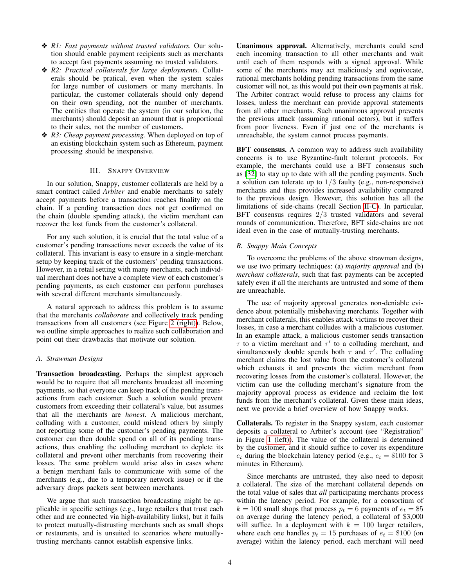- ❖ *R1: Fast payments without trusted validators.* Our solution should enable payment recipients such as merchants to accept fast payments assuming no trusted validators.
- ❖ *R2: Practical collaterals for large deployments.* Collaterals should be pratical, even when the system scales for large number of customers or many merchants. In particular, the customer collaterals should only depend on their own spending, not the number of merchants. The entities that operate the system (in our solution, the merchants) should deposit an amount that is proportional to their sales, not the number of customers.
- ❖ *R3: Cheap payment processing.* When deployed on top of an existing blockchain system such as Ethereum, payment processing should be inexpensive.

# III. SNAPPY OVERVIEW

<span id="page-3-0"></span>In our solution, Snappy, customer collaterals are held by a smart contract called *Arbiter* and enable merchants to safely accept payments before a transaction reaches finality on the chain. If a pending transaction does not get confirmed on the chain (double spending attack), the victim merchant can recover the lost funds from the customer's collateral.

For any such solution, it is crucial that the total value of a customer's pending transactions never exceeds the value of its collateral. This invariant is easy to ensure in a single-merchant setup by keeping track of the customers' pending transactions. However, in a retail setting with many merchants, each individual merchant does not have a complete view of each customer's pending payments, as each customer can perform purchases with several different merchants simultaneously.

A natural approach to address this problem is to assume that the merchants *collaborate* and collectively track pending transactions from all customers (see Figure [2 \(right\)\)](#page-4-1). Below, we outline simple approaches to realize such collaboration and point out their drawbacks that motivate our solution.

## *A. Strawman Designs*

Transaction broadcasting. Perhaps the simplest approach would be to require that all merchants broadcast all incoming payments, so that everyone can keep track of the pending transactions from each customer. Such a solution would prevent customers from exceeding their collateral's value, but assumes that all the merchants are *honest*. A malicious merchant, colluding with a customer, could mislead others by simply not reporting some of the customer's pending payments. The customer can then double spend on all of its pending transactions, thus enabling the colluding merchant to deplete its collateral and prevent other merchants from recovering their losses. The same problem would arise also in cases where a benign merchant fails to communicate with some of the merchants (e.g., due to a temporary network issue) or if the adversary drops packets sent between merchants.

We argue that such transaction broadcasting might be applicable in specific settings (e.g., large retailers that trust each other and are connected via high-availability links), but it fails to protect mutually-distrusting merchants such as small shops or restaurants, and is unsuited to scenarios where mutuallytrusting merchants cannot establish expensive links.

Unanimous approval. Alternatively, merchants could send each incoming transaction to all other merchants and wait until each of them responds with a signed approval. While some of the merchants may act maliciously and equivocate, rational merchants holding pending transactions from the same customer will not, as this would put their own payments at risk. The Arbiter contract would refuse to process any claims for losses, unless the merchant can provide approval statements from all other merchants. Such unanimous approval prevents the previous attack (assuming rational actors), but it suffers from poor liveness. Even if just one of the merchants is unreachable, the system cannot process payments.

BFT consensus. A common way to address such availability concerns is to use Byzantine-fault tolerant protocols. For example, the merchants could use a BFT consensus such as [\[32\]](#page-14-17) to stay up to date with all the pending payments. Such a solution can tolerate up to  $1/3$  faulty (e.g., non-responsive) merchants and thus provides increased availability compared to the previous design. However, this solution has all the limitations of side-chains (recall Section [II-C\)](#page-2-1). In particular, BFT consensus requires 2/3 trusted validators and several rounds of communication. Therefore, BFT side-chains are not ideal even in the case of mutually-trusting merchants.

### *B. Snappy Main Concepts*

To overcome the problems of the above strawman designs, we use two primary techniques: (a) *majority approval* and (b) *merchant collaterals*, such that fast payments can be accepted safely even if all the merchants are untrusted and some of them are unreachable.

The use of majority approval generates non-deniable evidence about potentially misbehaving merchants. Together with merchant collaterals, this enables attack victims to recover their losses, in case a merchant colludes with a malicious customer. In an example attack, a malicious customer sends transaction  $\tau$  to a victim merchant and  $\tau'$  to a colluding merchant, and simultaneously double spends both  $\tau$  and  $\tau'$ . The colluding merchant claims the lost value from the customer's collateral which exhausts it and prevents the victim merchant from recovering losses from the customer's collateral. However, the victim can use the colluding merchant's signature from the majority approval process as evidence and reclaim the lost funds from the merchant's collateral. Given these main ideas, next we provide a brief overview of how Snappy works.

Collaterals. To register in the Snappy system, each customer deposits a collateral to Arbiter's account (see "Registration" in Figure [1 \(left\)\)](#page-4-1). The value of the collateral is determined by the customer, and it should suffice to cover its expenditure  $e_t$  during the blockchain latency period (e.g.,  $e_t = $100$  for 3 minutes in Ethereum).

Since merchants are untrusted, they also need to deposit a collateral. The size of the merchant collateral depends on the total value of sales that *all* participating merchants process within the latency period. For example, for a consortium of  $k = 100$  small shops that process  $p_t = 6$  payments of  $e_t = $5$ on average during the latency period, a collateral of \$3,000 will suffice. In a deployment with  $k = 100$  larger retailers, where each one handles  $p_t = 15$  purchases of  $e_t = $100$  (on average) within the latency period, each merchant will need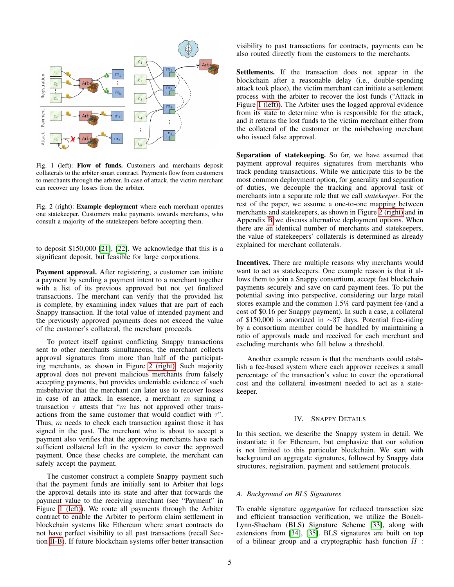<span id="page-4-1"></span>

Fig. 1 (left): Flow of funds. Customers and merchants deposit collaterals to the arbiter smart contract. Payments flow from customers to merchants through the arbiter. In case of attack, the victim merchant can recover any losses from the arbiter.

Fig. 2 (right): Example deployment where each merchant operates one statekeeper. Customers make payments towards merchants, who consult a majority of the statekeepers before accepting them.

to deposit \$150,000 [\[21\]](#page-14-7), [\[22\]](#page-14-8). We acknowledge that this is a significant deposit, but feasible for large corporations.

Payment approval. After registering, a customer can initiate a payment by sending a payment intent to a merchant together with a list of its previous approved but not yet finalized transactions. The merchant can verify that the provided list is complete, by examining index values that are part of each Snappy transaction. If the total value of intended payment and the previously approved payments does not exceed the value of the customer's collateral, the merchant proceeds.

To protect itself against conflicting Snappy transactions sent to other merchants simultaneous, the merchant collects approval signatures from more than half of the participating merchants, as shown in Figure [2 \(right\).](#page-4-1) Such majority approval does not prevent malicious merchants from falsely accepting payments, but provides undeniable evidence of such misbehavior that the merchant can later use to recover losses in case of an attack. In essence, a merchant  $m$  signing a transaction  $\tau$  attests that "m has not approved other transactions from the same customer that would conflict with  $\tau$ ". Thus, m needs to check each transaction against those it has signed in the past. The merchant who is about to accept a payment also verifies that the approving merchants have each sufficient collateral left in the system to cover the approved payment. Once these checks are complete, the merchant can safely accept the payment.

The customer construct a complete Snappy payment such that the payment funds are initially sent to Arbiter that logs the approval details into its state and after that forwards the payment value to the receiving merchant (see "Payment" in Figure [1 \(left\)\)](#page-4-1). We route all payments through the Arbiter contract to enable the Arbiter to perform claim settlement in blockchain systems like Ethereum where smart contracts do not have perfect visibility to all past transactions (recall Section [II-B\)](#page-2-0). If future blockchain systems offer better transaction visibility to past transactions for contracts, payments can be also routed directly from the customers to the merchants.

Settlements. If the transaction does not appear in the blockchain after a reasonable delay (i.e., double-spending attack took place), the victim merchant can initiate a settlement process with the arbiter to recover the lost funds ("Attack in Figure [1 \(left\)\)](#page-4-1). The Arbiter uses the logged approval evidence from its state to determine who is responsible for the attack, and it returns the lost funds to the victim merchant either from the collateral of the customer or the misbehaving merchant who issued false approval.

Separation of statekeeping. So far, we have assumed that payment approval requires signatures from merchants who track pending transactions. While we anticipate this to be the most common deployment option, for generality and separation of duties, we decouple the tracking and approval task of merchants into a separate role that we call *statekeeper*. For the rest of the paper, we assume a one-to-one mapping between merchants and statekeepers, as shown in Figure [2 \(right\)](#page-4-1) and in Appendix [B](#page-15-1) we discuss alternative deployment options. When there are an identical number of merchants and statekeepers, the value of statekeepers' collaterals is determined as already explained for merchant collaterals.

Incentives. There are multiple reasons why merchants would want to act as statekeepers. One example reason is that it allows them to join a Snappy consortium, accept fast blockchain payments securely and save on card payment fees. To put the potential saving into perspective, considering our large retail stores example and the common 1.5% card payment fee (and a cost of \$0.16 per Snappy payment). In such a case, a collateral of \$150,000 is amortized in ∼37 days. Potential free-riding by a consortium member could be handled by maintaining a ratio of approvals made and received for each merchant and excluding merchants who fall below a threshold.

Another example reason is that the merchants could establish a fee-based system where each approver receives a small percentage of the transaction's value to cover the operational cost and the collateral investment needed to act as a statekeeper.

## IV. SNAPPY DETAILS

<span id="page-4-0"></span>In this section, we describe the Snappy system in detail. We instantiate it for Ethereum, but emphasize that our solution is not limited to this particular blockchain. We start with background on aggregate signatures, followed by Snappy data structures, registration, payment and settlement protocols.

# *A. Background on BLS Signatures*

To enable signature *aggregation* for reduced transaction size and efficient transaction verification, we utilize the Boneh-Lynn-Shacham (BLS) Signature Scheme [\[33\]](#page-14-18), along with extensions from [\[34\]](#page-14-19), [\[35\]](#page-14-20). BLS signatures are built on top of a bilinear group and a cryptographic hash function  $H$ :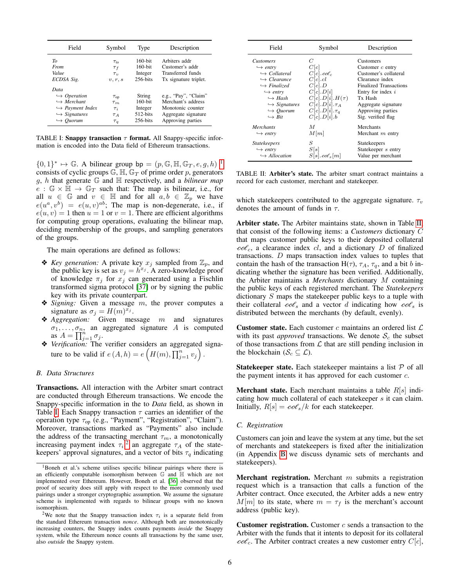<span id="page-5-1"></span>

| Field                                                                                                                                                            | Symbol                                                       | Type                                                          | Description                                                                                                 |
|------------------------------------------------------------------------------------------------------------------------------------------------------------------|--------------------------------------------------------------|---------------------------------------------------------------|-------------------------------------------------------------------------------------------------------------|
| $T_0$<br>From<br>Value<br>ECDSA Sig.                                                                                                                             | $\tau_{\text{to}}$<br>$\tau_f$<br>$\tau_{\eta}$<br>v, r, s   | 160-bit<br>$160$ -bit<br>Integer<br>$256$ -bits               | Arbiters addr<br>Customer's addr<br>Transferred funds<br>Tx signature triplet.                              |
| Data<br>$\hookrightarrow$ Operation<br>$\hookrightarrow$ Merchant<br>$\hookrightarrow$ Payment Index<br>$\hookrightarrow$ Signatures<br>$\hookrightarrow$ Ouorum | $\tau_{\rm op}$<br>$\tau_m$<br>$\tau_i$<br>$T_A$<br>$\tau_q$ | String<br>$160$ -bit<br>Integer<br>$512$ -bits<br>$256$ -bits | e.g., "Pay", "Claim"<br>Merchant's address<br>Monotonic counter<br>Aggregate signature<br>Approving parties |

TABLE I: Snappy transaction  $\tau$  format. All Snappy-specific information is encoded into the Data field of Ethereum transactions.

 ${0,1}^* \mapsto \mathbb{G}$  ${0,1}^* \mapsto \mathbb{G}$  ${0,1}^* \mapsto \mathbb{G}$ . A bilinear group bp =  $(p, \mathbb{G}, \mathbb{H}, \mathbb{G}_T, e, g, h)$ <sup>1</sup> consists of cyclic groups  $\mathbb{G}$ ,  $\mathbb{H}$ ,  $\mathbb{G}_T$  of prime order p, generators g, h that generate G and H respectively, and a *bilinear map*  $e : \mathbb{G} \times \mathbb{H} \to \mathbb{G}_T$  such that: The map is bilinear, i.e., for all  $u \in \mathbb{G}$  and  $v \in \mathbb{H}$  and for all  $a, b \in \mathbb{Z}_p$  we have  $e(u^a, v^b) = e(u, v)^{ab}$ ; The map is non-degenerate, i.e., if  $e(u, v) = 1$  then  $u = 1$  or  $v = 1$ . There are efficient algorithms for computing group operations, evaluating the bilinear map, deciding membership of the groups, and sampling generators of the groups.

The main operations are defined as follows:

- **❖** *Key generation:* A private key  $x_j$  sampled from  $\mathbb{Z}_p$ , and the public key is set as  $v_j = h^{x_j}$ . A zero-knowledge proof of knowledge  $\pi_j$  for  $x_j$  can generated using a Fischlin transformed sigma protocol [\[37\]](#page-14-21) or by signing the public key with its private counterpart.
- ❖ *Signing:* Given a message m, the prover computes a signature as  $\sigma_j = H(m)^{x_j}$ .
- ❖ *Aggregation:* Given message m and signatures  $\sigma_1, \ldots, \sigma_n$ , an aggregated signature A is computed as  $A = \prod_{j=1}^{n} \sigma_j$ .
- ❖ *Verification:* The verifier considers an aggregated signature to be valid if  $e(A, h) = e\left(H(m), \prod_{j=1}^{n} v_j\right)$ .

#### *B. Data Structures*

Transactions. All interaction with the Arbiter smart contract are conducted through Ethereum transactions. We encode the Snappy-specific information in the to *Data* field, as shown in Table [I.](#page-5-1) Each Snappy transaction  $\tau$  carries an identifier of the operation type  $\tau_{op}$  (e.g., "Payment", "Registration", "Claim"). Moreover, transactions marked as "Payments" also include the address of the transacting merchant  $\tau_m$ , a monotonically increasing payment index  $\tau_i$ <sup>[2](#page-5-2)</sup> an aggregate  $\tau_A$  of the statekeepers' approval signatures, and a vector of bits  $\tau_q$  indicating

<span id="page-5-3"></span>

| Field                        | Symbol                   | Description                   |
|------------------------------|--------------------------|-------------------------------|
| <b>Customers</b>             | C                        | Customers                     |
| $\hookrightarrow$ entry      | C[c]                     | Customer $c$ entry            |
| $\hookrightarrow$ Collateral | $C[c].\mathit{cot}_c$    | Customer's collateral         |
| $\hookrightarrow$ Clearance  | C[c].cl                  | Clearance index               |
| $\hookrightarrow$ Finalized  | C[c].D                   | <b>Finalized Transactions</b> |
| $\hookrightarrow$ entry      | C[c].D[i]                | Entry for index $i$           |
| $\hookrightarrow$ Hash       | $C[c].D[i].H(\tau)$      | Tx Hash                       |
| $\hookrightarrow$ Signatures | $C[c].D[i].\tau_A$       | Aggregate signature           |
| $\hookrightarrow$ Quorum     | $C[c].D[i].\tau_q$       | Approving parties             |
| $\hookrightarrow$ Bit        | C[c].D[i].b              | Sig. verified flag            |
| <b>Merchants</b>             | M                        | Merchants                     |
| $\hookrightarrow$ entry      | M[m]                     | Merchant $m$ entry            |
| <i>Statekeepers</i>          | S                        | <b>Statekeepers</b>           |
| $\hookrightarrow$ entry      | S[s]                     | Statekeeper s entry           |
| $\hookrightarrow$ Allocation | $S[s].\textit{cod}_s[m]$ | Value per merchant            |

TABLE II: Arbiter's state. The arbiter smart contract maintains a record for each customer, merchant and statekeeper.

which statekeepers contributed to the aggregate signature.  $\tau_v$ denotes the amount of funds in  $\tau$ .

Arbiter state. The Arbiter maintains state, shown in Table [II,](#page-5-3) that consist of the following items: a *Customers* dictionary C that maps customer public keys to their deposited collateral  $\cot_c$ , a clearance index cl, and a dictionary D of finalized transactions. D maps transaction index values to tuples that contain the hash of the transaction  $H(\tau)$ ,  $\tau_A$ ,  $\tau_q$ , and a bit b indicating whether the signature has been verified. Additionally, the Arbiter maintains a *Merchants* dictionary M containing the public keys of each registered merchant. The *Statekeepers* dictionary S maps the statekeeper public keys to a tuple with their collateral  $\cos$  and a vector d indicating how  $\cos$  is distributed between the merchants (by default, evenly).

**Customer state.** Each customer c maintains an ordered list  $\mathcal{L}$ with its past *approved* transactions. We denote  $S_c$  the subset of those transactions from  $\mathcal L$  that are still pending inclusion in the blockchain ( $\mathcal{S}_c \subseteq \mathcal{L}$ ).

**Statekeeper state.** Each statekeeper maintains a list  $P$  of all the payment intents it has approved for each customer c.

**Merchant state.** Each merchant maintains a table  $R[s]$  indicating how much collateral of each statekeeper s it can claim. Initially,  $R[s] = \cos\theta_s/k$  for each statekeeper.

#### *C. Registration*

Customers can join and leave the system at any time, but the set of merchants and statekeepers is fixed after the initialization (in Appendix [B](#page-15-1) we discuss dynamic sets of merchants and statekeepers).

**Merchant registration.** Merchant  $m$  submits a registration request which is a transaction that calls a function of the Arbiter contract. Once executed, the Arbiter adds a new entry  $M[m]$  to its state, where  $m = \tau_f$  is the merchant's account address (public key).

**Customer registration.** Customer  $c$  sends a transaction to the Arbiter with the funds that it intents to deposit for its collateral  $\cot_c$ . The Arbiter contract creates a new customer entry  $C[c]$ ,

<span id="page-5-0"></span><sup>&</sup>lt;sup>1</sup>Boneh et al.'s scheme utilises specific bilinear pairings where there is an efficiently computable isomorphism between G and H which are not implemented over Ethereum. However, Boneh et al. [\[36\]](#page-14-22) observed that the proof of security does still apply with respect to the more commonly used pairings under a stronger cryptographic assumption. We assume the signature scheme is implemented with regards to bilinear groups with no known isomorphism.

<span id="page-5-2"></span><sup>&</sup>lt;sup>2</sup>We note that the Snappy transaction index  $\tau_i$  is a separate field from the standard Ethereum transaction *nonce*. Although both are monotonically increasing counters, the Snappy index counts payments *inside* the Snappy system, while the Ethereum nonce counts all transactions by the same user, also *outside* the Snappy system.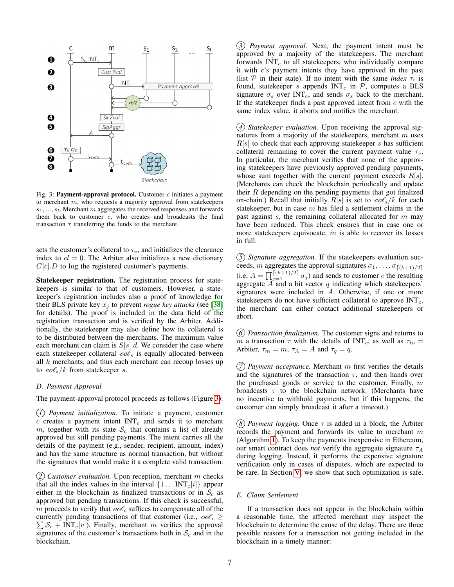<span id="page-6-0"></span>

Fig. 3: Payment-approval protocol. Customer  $c$  initiates a payment to merchant m, who requests a majority approval from statekeepers  $s_1, \ldots, s_l$ . Merchant m aggregates the received responses and forwards them back to customer c, who creates and broadcasts the final transaction  $\tau$  transferring the funds to the merchant.

sets the customer's collateral to  $\tau_v$ , and initializes the clearance index to  $cl = 0$ . The Arbiter also initializes a new dictionary  $C[c].D$  to log the registered customer's payments.

Statekeeper registration. The registration process for statekeepers is similar to that of customers. However, a statekeeper's registration includes also a proof of knowledge for their BLS private key  $x_i$  to prevent *rogue key attacks* (see [\[38\]](#page-14-23) for details). The proof is included in the data field of the registration transaction and is verified by the Arbiter. Additionally, the statekeeper may also define how its collateral is to be distributed between the merchants. The maximum value each merchant can claim is  $S[s]$ .d. We consider the case where each statekeeper collateral  $\text{cot}_s$  is equally allocated between all  $k$  merchants, and thus each merchant can recoup losses up to  $\cos(k)$  from statekeeper s.

## <span id="page-6-1"></span>*D. Payment Approval*

The payment-approval protocol proceeds as follows (Figure [3\)](#page-6-0):

*1 Payment initialization.* To initiate a payment, customer  $c$  creates a payment intent  $INT<sub>c</sub>$  and sends it to merchant m, together with its state  $S_c$  that contains a list of already approved but still pending payments. The intent carries all the details of the payment (e.g., sender, recipient, amount, index) and has the same structure as normal transaction, but without the signatures that would make it a complete valid transaction.

*2 Customer evaluation.* Upon reception, merchant m checks that all the index values in the interval  $\{1 \dots INT_{c}[i]\}$  appear either in the blockchain as finalized transactions or in  $S_c$  as approved but pending transactions. If this check is successful, m proceeds to verify that  $\cos \theta_c$  suffices to compensate all of the currently pending transactions of that customer (i.e.,  $\text{cof}_c \geq$  $\sum S_c$  + INT<sub>c</sub>[v]). Finally, merchant m verifies the approval signatures of the customer's transactions both in  $S_c$  and in the blockchain.

*3 Payment approval.* Next, the payment intent must be approved by a majority of the statekeepers. The merchant forwards  $INT<sub>c</sub>$  to all statekeepers, who individually compare it with c's payment intents they have approved in the past (list  $P$  in their state). If no intent with the same *index*  $\tau_i$  is found, statekeeper s appends  $INT<sub>c</sub>$  in  $P$ , computes a BLS signature  $\sigma_s$  over INT<sub>c</sub>, and sends  $\sigma_s$  back to the merchant. If the statekeeper finds a past approved intent from  $c$  with the same index value, it aborts and notifies the merchant.

*4 Statekeeper evaluation.* Upon receiving the approval signatures from a majority of the statekeepers, merchant m uses  $R[s]$  to check that each approving statekeeper s has sufficient collateral remaining to cover the current payment value  $\tau_v$ . In particular, the merchant verifies that none of the approving statekeepers have previously approved pending payments, whose sum together with the current payment exceeds  $R[s]$ . (Merchants can check the blockchain periodically and update their  $R$  depending on the pending payments that got finalized on-chain.) Recall that initially  $R[s]$  is set to  $\cos\frac{\theta_s}{k}$  for each statekeeper, but in case  $m$  has filed a settlement claims in the past against  $s$ , the remaining collateral allocated for  $m$  may have been reduced. This check ensures that in case one or more statekeepers equivocate,  $m$  is able to recover its losses in full.

*5 Signature aggregation.* If the statekeepers evaluation succeeds, m aggregates the approval signatures  $\sigma_1, \ldots, \sigma_{\lceil (k+1)/2 \rceil}$ (i.e,  $A = \prod_{j=1}^{\lceil (k+1)/2 \rceil} \sigma_j$ ) and sends to customer c the resulting aggregate  $\overrightarrow{A}$  and a bit vector  $q$  indicating which statekeepers' signatures were included in A. Otherwise, if one or more statekeepers do not have sufficient collateral to approve  $INT<sub>c</sub>$ , the merchant can either contact additional statekeepers or abort.

*6 Transaction finalization.* The customer signs and returns to m a transaction  $\tau$  with the details of INT<sub>c</sub>, as well as  $\tau_{to}$ Arbiter,  $\tau_m = m$ ,  $\tau_A = A$  and  $\tau_q = q$ .

*7 Payment acceptance.* Merchant m first verifies the details and the signatures of the transaction  $\tau$ , and then hands over the purchased goods or service to the customer. Finally,  $m$ broadcasts  $\tau$  to the blockchain network. (Merchants have no incentive to withhold payments, but if this happens, the customer can simply broadcast it after a timeout.)

*(8) Payment logging.* Once  $\tau$  is added in a block, the Arbiter records the payment and forwards its value to merchant  $m$ (Algorithm [1\)](#page-7-0). To keep the payments inexpensive in Ethereum, our smart contract does *not* verify the aggregate signature  $\tau_A$ during logging. Instead, it performs the expensive signature verification only in cases of disputes, which are expected to be rare. In Section [V,](#page-8-0) we show that such optimization is safe.

## *E. Claim Settlement*

If a transaction does not appear in the blockchain within a reasonable time, the affected merchant may inspect the blockchain to determine the cause of the delay. There are three possible reasons for a transaction not getting included in the blockchain in a timely manner: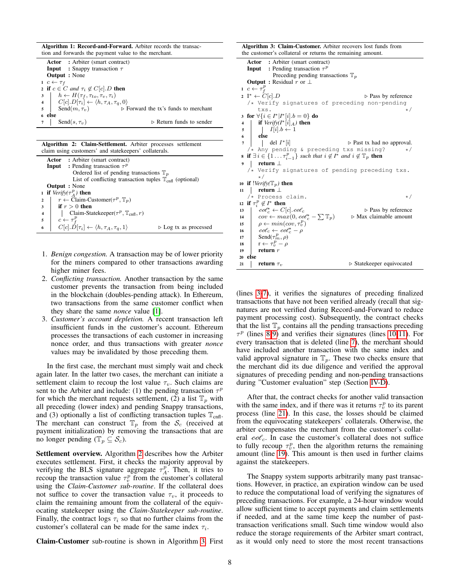| Algorithm 1: Record-and-Forward. Arbiter records the transac- |  |
|---------------------------------------------------------------|--|
| tion and forwards the payment value to the merchant.          |  |

Actor : Arbiter (smart contract) **Input** : Snappy transaction  $\tau$ Output : None 1  $c \leftarrow \tau_f$ 2 if  $c \in C$  *and*  $\tau_i \notin C[c].D$  then  $3 \mid h \leftarrow H(\tau_f, \tau_{to}, \tau_v, \tau_i)$ 4  $C[c].D[\tau_i] \leftarrow \langle h, \tau_A, \tau_q, 0 \rangle$ 5 Send $(m, \tau_v)$   $\triangleright$  Forward the tx's funds to merchant <sup>6</sup> else 7 Send $(s, \tau_v)$   $\triangleright$  Return funds to sender

<span id="page-7-0"></span>Algorithm 2: Claim-Settlement. Arbiter processes settlement claim using customers' and statekeepers' collaterals.

|                |                      | <b>Actor</b> : Arbiter (smart contract)                                      |                                      |  |
|----------------|----------------------|------------------------------------------------------------------------------|--------------------------------------|--|
|                |                      | <b>Input</b> : Pending transaction $\tau^p$                                  |                                      |  |
|                |                      | Ordered list of pending transactions $\mathbb{T}_n$                          |                                      |  |
|                |                      | List of conflicting transaction tuples $\mathbb{T}_{\text{cnfl}}$ (optional) |                                      |  |
|                | <b>Output</b> : None |                                                                              |                                      |  |
|                |                      | <b>1</b> if <i>Verify</i> ( $\tau_A^p$ ) then                                |                                      |  |
| $\overline{2}$ |                      | $r \leftarrow$ Claim-Customer( $\tau^p$ , $\mathbb{T}_n$ )                   |                                      |  |
|                |                      | if $r > 0$ then                                                              |                                      |  |
| $\overline{4}$ |                      | Claim-Statekeeper( $\tau^p$ , $\mathbb{T}_{\text{cnfl}}, r$ )                |                                      |  |
| -5             |                      | $c \leftarrow \tau_f^p$                                                      |                                      |  |
| 6              |                      | $C[c].D[\tau_i] \leftarrow \langle h, \tau_A, \tau_a, 1 \rangle$             | $\triangleright$ Log tx as processed |  |

- <span id="page-7-1"></span>1. *Benign congestion.* A transaction may be of lower priority for the miners compared to other transactions awarding higher miner fees.
- 2. *Conflicting transaction.* Another transaction by the same customer prevents the transaction from being included in the blockchain (doubles-pending attack). In Ethereum, two transactions from the same customer conflict when they share the same *nonce* value [\[1\]](#page-13-0).
- 3. *Customer's account depletion.* A recent transaction left insufficient funds in the customer's account. Ethereum processes the transactions of each customer in increasing nonce order, and thus transactions with greater *nonce* values may be invalidated by those preceding them.

In the first case, the merchant must simply wait and check again later. In the latter two cases, the merchant can initiate a settlement claim to recoup the lost value  $\tau_v$ . Such claims are sent to the Arbiter and include: (1) the pending transaction  $\tau^p$ for which the merchant requests settlement, (2) a list  $\mathbb{T}_p$  with all preceding (lower index) and pending Snappy transactions, and (3) optionally a list of conflicting transaction tuples  $\mathbb{T}_{\text{cnfl}}$ . The merchant can construct  $\mathbb{T}_p$  from the  $\mathcal{S}_c$  (received at payment initialization) by removing the transactions that are no longer pending ( $\mathbb{T}_p \subseteq \mathcal{S}_c$ ).

Settlement overview. Algorithm [2](#page-7-1) describes how the Arbiter executes settlement. First, it checks the majority approval by verifying the BLS signature aggregate  $\tau_A^p$ . Then, it tries to recoup the transaction value  $\tau_v^p$  from the customer's collateral using the *Claim-Customer sub-routine*. If the collateral does not suffice to cover the transaction value  $\tau_v$ , it proceeds to claim the remaining amount from the collateral of the equivocating statekeeper using the *Claim-Statekeeper sub-routine*. Finally, the contract logs  $\tau_i$  so that no further claims from the customer's collateral can be made for the same index  $\tau_i$ .

Claim-Customer sub-routine is shown in Algorithm [3.](#page-7-2) First

<span id="page-7-6"></span><span id="page-7-5"></span><span id="page-7-4"></span><span id="page-7-3"></span>

| <b>Algorithm 3: Claim-Customer.</b> Arbiter recovers lost funds from                                                      |                                                            |  |  |  |
|---------------------------------------------------------------------------------------------------------------------------|------------------------------------------------------------|--|--|--|
|                                                                                                                           | the customer's collateral or returns the remaining amount. |  |  |  |
| <b>Actor</b> : Arbiter (smart contract)                                                                                   |                                                            |  |  |  |
| <b>Input</b> : Pending transaction $\tau^p$                                                                               |                                                            |  |  |  |
| Preceding pending transactions $\mathbb{T}_p$                                                                             |                                                            |  |  |  |
| <b>Output</b> : Residual r or $\perp$                                                                                     |                                                            |  |  |  |
| 1 $c \leftarrow \tau_f^p$                                                                                                 |                                                            |  |  |  |
| 2 $I^* \leftarrow C[c].D$                                                                                                 | $\triangleright$ Pass by reference                         |  |  |  |
| /* Verify signatures of preceding non-pending                                                                             |                                                            |  |  |  |
| txs.                                                                                                                      | $\star/$                                                   |  |  |  |
| 3 for $\forall \{i \in I^*   I^*[i].b = 0\}$ do                                                                           |                                                            |  |  |  |
|                                                                                                                           |                                                            |  |  |  |
|                                                                                                                           |                                                            |  |  |  |
|                                                                                                                           |                                                            |  |  |  |
| 4 <b>if</b> $Verify(I^*[\iota]_A)$ then<br>5<br>6 <b>else</b><br>7 <b>del</b> $I^*[\iota]$ .<br>1 <b>del</b> $I^*[\iota]$ | $\triangleright$ Past tx had no approval.                  |  |  |  |
| /* Any pending & preceding txs missing?                                                                                   | $\star/$                                                   |  |  |  |
| <b>s</b> if $\exists i \in \{1 \dots \tau_{i-1}^p\}$ such that $i \notin I^*$ and $i \notin \mathbb{F}_p$ then            |                                                            |  |  |  |
| return $\perp$<br>9                                                                                                       |                                                            |  |  |  |
| /* Verify signatures of pending preceding txs.                                                                            |                                                            |  |  |  |
| $\star/$                                                                                                                  |                                                            |  |  |  |
| 10 if $!Verify(\mathbb{T}_p)$ then                                                                                        |                                                            |  |  |  |
| return $\perp$<br>11                                                                                                      |                                                            |  |  |  |
| /* Process claim.                                                                                                         | $\star/$                                                   |  |  |  |
| 12 if $\tau_i^p \notin I^*$ then                                                                                          |                                                            |  |  |  |
| $cot_c^* \leftarrow C[c].cot_c$<br>13                                                                                     | $\triangleright$ Pass by reference                         |  |  |  |
| $cov \leftarrow max(0, co\mathcal{C}_c^* - \sum \mathbb{T}_p)$<br>14                                                      | $\triangleright$ Max claimable amount                      |  |  |  |
| $\rho \leftarrow min(cov, \tau_v^p)$<br>15                                                                                |                                                            |  |  |  |
| $\cot_c \leftarrow \cot_c^* - \rho$<br>16                                                                                 |                                                            |  |  |  |
| Send $(\tau_m^p, \rho)$<br>$\mathbf{r} \leftarrow \tau_v^p - \rho$<br>17                                                  |                                                            |  |  |  |
| 18                                                                                                                        |                                                            |  |  |  |
| return $r$<br>19                                                                                                          |                                                            |  |  |  |
| else<br>20                                                                                                                |                                                            |  |  |  |
| return $\tau_v$<br>21                                                                                                     | $\triangleright$ Statekeeper equivocated                   |  |  |  |

<span id="page-7-12"></span><span id="page-7-11"></span><span id="page-7-10"></span><span id="page-7-9"></span><span id="page-7-8"></span><span id="page-7-7"></span><span id="page-7-2"></span>(lines [3-](#page-7-3)[7\)](#page-7-4), it verifies the signatures of preceding finalized transactions that have not been verified already (recall that signatures are not verified during Record-and-Forward to reduce payment processing cost). Subsequently, the contract checks that the list  $\mathbb{T}_p$  contains all the pending transactions preceding  $\tau^p$  (lines [8-](#page-7-5)[9\)](#page-7-6) and verifies their signatures (lines [10-](#page-7-7)[11\)](#page-7-8). For every transaction that is deleted (line [7\)](#page-7-4), the merchant should have included another transaction with the same index and valid approval signature in  $\mathbb{T}_p$ . These two checks ensure that the merchant did its due diligence and verified the approval signatures of preceding pending and non-pending transactions during "Customer evaluation" step (Section [IV-D\)](#page-6-1).

After that, the contract checks for another valid transaction with the same index, and if there was it returns  $\tau_v^p$  to its parent process (line [21\)](#page-7-9). In this case, the losses should be claimed from the equivocating statekeepers' collaterals. Otherwise, the arbiter compensates the merchant from the customer's collateral  $\cot_c$ . In case the customer's collateral does not suffice to fully recoup  $\tau_v^p$ , then the algorithm returns the remaining amount (line [19\)](#page-7-10). This amount is then used in further claims against the statekeepers.

The Snappy system supports arbitrarily many past transactions. However, in practice, an expiration window can be used to reduce the computational load of verifying the signatures of preceding transactions. For example, a 24-hour window would allow sufficient time to accept payments and claim settlements if needed, and at the same time keep the number of pasttransaction verifications small. Such time window would also reduce the storage requirements of the Arbiter smart contract, as it would only need to store the most recent transactions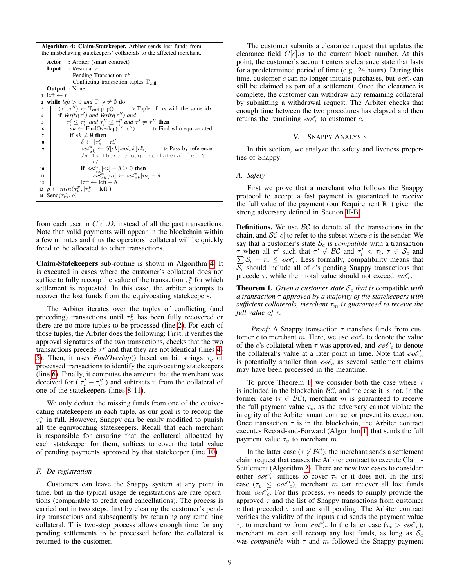Algorithm 4: Claim-Statekeeper. Arbiter sends lost funds from the misbehaving statekeepers' collaterals to the affected merchant.

<span id="page-8-6"></span><span id="page-8-5"></span><span id="page-8-4"></span><span id="page-8-3"></span><span id="page-8-2"></span>Actor : Arbiter (smart contract) Input : Residual r Pending Transaction  $\tau^p$ Conflicting transaction tuples  $\mathbb{T}_{\text{cnfl}}$ Output : None 1 left  $\leftarrow r$ 2 while *left*  $> 0$  *and*  $\mathbb{T}_{cnfl} \neq \emptyset$  **do** 3 |  $\langle \tau'$  $\triangleright$  Tuple of txs with the same idx **4 if**  $Verify(\tau')$  and  $Verify(\tau'')$  and 5  $\tau'_i \leq \tau_i^p$  and  $\tau''_i \leq \tau_i^p$  and  $\tau' \neq \tau''$  then 6  $s \overline{k} \leftarrow \text{FindOverlap}(\tau')$  $\triangleright$  Find who equivocated  $7$  | if  $sk \neq \emptyset$  then 8  $\begin{array}{|c|c|c|c|c|}\n\hline\n8 & 6 & 7 & -7 & -7\n\end{array}$  $\begin{array}{c|c} \mathbf{s} & \mathbf{s} \\ \hline \mathbf{s} & \mathbf{c} \end{array} \left| \begin{array}{c} \delta \leftarrow |\tau'_v - \tau''_v| \\ \mathbf{c} \sigma \mathbf{c}^*_{sk} \leftarrow S[sk].col_s k[\tau^p_m] & \mathbf{c} \end{array} \right| \right| \qquad \text{$\mathbf{s}$ is by reference}$ /\* Is there enough collateral left? 10 if  $\operatorname{co\mathcal{C}}^*_{sk}[m] - \delta \geq 0$  then 11  $\begin{vmatrix} \n\cdot & \cdot & \cdot \\
\cdot & \cdot & \cdot \\
\cdot & \cdot & \cdot \\
\cdot & \cdot & \cdot\n\end{vmatrix} \leftarrow \begin{vmatrix} \cdot & \cdot & \cdot \\
\cdot & \cdot & \cdot \\
\cdot & \cdot & \cdot \\
\cdot & \cdot & \cdot\n\end{vmatrix} \leftarrow \begin{vmatrix} - & \cdot & \cdot \\
\cdot & \cdot & \cdot \\
\cdot & \cdot & \cdot \\
\cdot & \cdot & \cdot\n\end{vmatrix} \leftarrow \begin{vmatrix} - & \cdot & \cdot \\
\cdot & \cdot & \cdot \\
\cdot & \cdot & \cdot \\
\cdot & \cdot & \cdot\n\end{vmatrix} \leftarrow \begin{vmatrix} - & \cdot & \cdot$ 13  $\rho \leftarrow min(\tau_v^p, |\tau_v^p - \text{left}|)$ 14 Send $(\tau_m^p, \rho)$ 

<span id="page-8-8"></span><span id="page-8-7"></span><span id="page-8-1"></span>from each user in  $C[c].D$ , instead of all the past transactions. Note that valid payments will appear in the blockchain within a few minutes and thus the operators' collateral will be quickly freed to be allocated to other transactions.

Claim-Statekeepers sub-routine is shown in Algorithm [4.](#page-8-1) It is executed in cases where the customer's collateral does not suffice to fully recoup the value of the transaction  $\tau_v^p$  for which settlement is requested. In this case, the arbiter attempts to recover the lost funds from the equivocating statekeepers.

The Arbiter iterates over the tuples of conflicting (and preceding) transactions until  $\tau_v^p$  has been fully recovered or there are no more tuples to be processed (line [2\)](#page-8-2). For each of those tuples, the Arbiter does the following: First, it verifies the approval signatures of the two transactions, checks that the two transactions precede  $\tau^p$  and that they are not identical (lines [4-](#page-8-3) [5\)](#page-8-4). Then, it uses *FindOverlap*() based on bit strings  $\tau_q$  of processed transactions to identify the equivocating statekeepers (line [6\)](#page-8-5). Finally, it computes the amount that the merchant was deceived for  $(|\tau'_v - \tau''_v|)$  and subtracts it from the collateral of one of the statekeepers (lines [8](#page-8-6)[-11\)](#page-8-7).

We only deduct the missing funds from one of the equivocating statekeepers in each tuple, as our goal is to recoup the  $\tau_v^p$  in full. However, Snappy can be easily modified to punish all the equivocating statekeepers. Recall that each merchant is responsible for ensuring that the collateral allocated by each statekeeper for them, suffices to cover the total value of pending payments approved by that statekeeper (line [10\)](#page-8-8).

## *F. De-registration*

Customers can leave the Snappy system at any point in time, but in the typical usage de-registrations are rare operations (comparable to credit card cancellations). The process is carried out in two steps, first by clearing the customer's pending transactions and subsequently by returning any remaining collateral. This two-step process allows enough time for any pending settlements to be processed before the collateral is returned to the customer.

The customer submits a clearance request that updates the clearance field  $C[c].cl$  to the current block number. At this point, the customer's account enters a clearance state that lasts for a predetermined period of time (e.g., 24 hours). During this time, customer c can no longer initiate purchases, but  $\cos^2 c$  can still be claimed as part of a settlement. Once the clearance is complete, the customer can withdraw any remaining collateral by submitting a withdrawal request. The Arbiter checks that enough time between the two procedures has elapsed and then returns the remaining  $\cos \theta_c$  to customer c.

#### V. SNAPPY ANALYSIS

<span id="page-8-0"></span>In this section, we analyze the safety and liveness properties of Snappy.

#### *A. Safety*

First we prove that a merchant who follows the Snappy protocol to accept a fast payment is guaranteed to receive the full value of the payment (our Requirement R1) given the strong adversary defined in Section [II-B.](#page-2-0)

**Definitions.** We use  $BC$  to denote all the transactions in the chain, and  $\mathcal{BC}[c]$  to refer to the subset where c is the sender. We say that a customer's state  $S_c$  is *compatible* with a transaction *τ* when all *τ'* such that *τ'* ∉ *BC* and  $τ'_{i} < τ_{i}$ , *τ* ∈ *S<sub>c</sub>* and  $\sum S_c + τ_v ≤ coC_c$ . Less formally, compatibility means that  $\sum S_c + \tau_v \leq \text{co}\ell_c$ . Less formally, compatibility means that  $\overline{S_c}$  should include all of c's pending Snappy transactions that precede  $\tau$ , while their total value should not exceed  $\cot^2 c$ .

<span id="page-8-9"></span>**Theorem 1.** *Given a customer state*  $S_c$  *that* is compatible *with a transaction* τ *approved by a majority of the statekeepers with sufficient collaterals, merchant*  $\tau_m$  *is guaranteed to receive the full value of* τ*.*

*Proof:* A Snappy transaction  $\tau$  transfers funds from customer c to merchant m. Here, we use  $\cot_c$  to denote the value of the c's collateral when  $\tau$  was approved, and  $\cot'$ <sub>c</sub> to denote the collateral's value at a later point in time. Note that  $\cot^2 c$ is potentially smaller than  $\cot_c$  as several settlement claims may have been processed in the meantime.

To prove Theorem [1,](#page-8-9) we consider both the case where  $\tau$ is included in the blockchain  $\beta \mathcal{C}$ , and the case it is not. In the former case ( $\tau \in BC$ ), merchant m is guaranteed to receive the full payment value  $\tau_v$ , as the adversary cannot violate the integrity of the Arbiter smart contract or prevent its execution. Once transaction  $\tau$  is in the blockchain, the Arbiter contract executes Record-and-Forward (Algorithm [1\)](#page-7-0) that sends the full payment value  $\tau_v$  to merchant m.

In the latter case ( $\tau \notin BC$ ), the merchant sends a settlement claim request that causes the Arbiter contract to execute Claim-Settlement (Algorithm [2\)](#page-7-1). There are now two cases to consider: either  $\cot^{\prime}$  suffices to cover  $\tau_v$  or it does not. In the first case  $(\tau_v \leq \text{coe}^v_c)$ , merchant m can recover all lost funds from  $\cot$  cold c. For this process, m needs to simply provide the approved  $\tau$  and the list of Snappy transactions from customer  $c$  that preceded  $\tau$  and are still pending. The Arbiter contract verifies the validity of the inputs and sends the payment value  $\tau_v$  to merchant m from  $\cos^7 c$ . In the latter case  $(\tau_v > \cos^7 c)$ , merchant m can still recoup any lost funds, as long as  $S_c$ was *compatible* with  $\tau$  and  $m$  followed the Snappy payment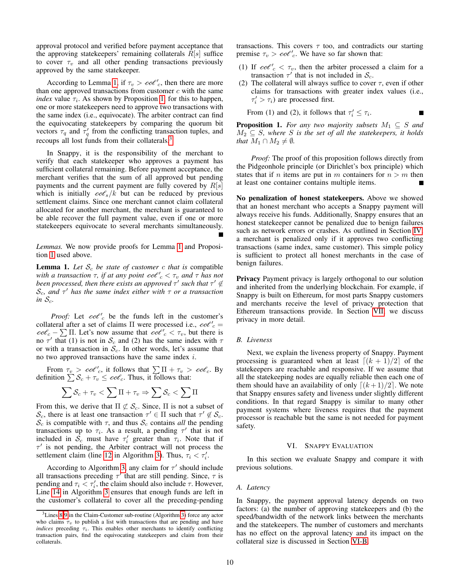approval protocol and verified before payment acceptance that the approving statekeepers' remaining collaterals  $R[s]$  suffice to cover  $\tau_v$  and all other pending transactions previously approved by the same statekeeper.

According to Lemma [1,](#page-9-2) if  $\tau_v > \epsilon \omega e'_{c}$ , then there are more than one approved transactions from customer  $c$  with the same *index* value  $\tau_i$ . As shown by Proposition [1,](#page-9-3) for this to happen, one or more statekeepers need to approve two transactions with the same index (i.e., equivocate). The arbiter contract can find the equivocating statekeepers by comparing the quorum bit vectors  $\tau_q$  and  $\tau'_q$  from the conflicting transaction tuples, and recoups all lost funds from their collaterals.<sup>[3](#page-9-4)</sup>

In Snappy, it is the responsibility of the merchant to verify that each statekeeper who approves a payment has sufficient collateral remaining. Before payment acceptance, the merchant verifies that the sum of all approved but pending payments and the current payment are fully covered by  $R[s]$ which is initially  $\cos(k)$  but can be reduced by previous settlement claims. Since one merchant cannot claim collateral allocated for another merchant, the merchant is guaranteed to be able recover the full payment value, even if one or more statekeepers equivocate to several merchants simultaneously.

*Lemmas.* We now provide proofs for Lemma [1](#page-9-2) and Proposition [1](#page-9-3) used above.

<span id="page-9-2"></span>**Lemma 1.** Let  $S_c$  be state of customer c that is compatible with a transaction  $\tau$ , if at any point  $\cot^{\rho}{}_{c} < \tau_{v}$  and  $\tau$  has not *been processed, then there exists an approved*  $τ'$  such that  $τ' \notin$ Sc*, and* τ <sup>0</sup> *has the same index either with* τ *or a transaction in*  $S_c$ .

*Proof:* Let  $\cot$  be the funds left in the customer's collateral after a set of claims  $\Pi$  were processed i.e.,  $\cot^{\theta}$ <sub>c</sub> =  $\cos^2 c - \sum \prod$ . Let's now assume that  $\cos^2 c < \tau_v$ , but there is no  $\tau'$  that (1) is not in  $S_c$  and (2) has the same index with  $\tau$ or with a transaction in  $S_c$ . In other words, let's assume that no two approved transactions have the same index  $i$ .

From  $\tau_v > \cos^{\theta'}_c$ , it follows that  $\sum \Pi + \tau_v > \cos^2_c$ . By definition  $\sum S_c + \tau_v \leq \text{co}\ell_c$ . Thus, it follows that:

$$
\sum \mathcal{S}_c + \tau_v < \sum \Pi + \tau_v \Rightarrow \sum \mathcal{S}_c < \sum \Pi
$$

From this, we derive that  $\Pi \not\subset \mathcal{S}_c$ . Since,  $\Pi$  is not a subset of S<sub>c</sub>, there is at least one transaction  $\tau' \in \Pi$  such that  $\tau' \notin S_c$ .  $\mathcal{S}_c$  is compatible with  $\tau$ , and thus  $\mathcal{S}_c$  contains *all* the pending transactions up to  $\tau_i$ . As a result, a pending  $\tau'$  that is not included in  $\mathcal{S}_c$  must have  $\tau'_i$  greater than  $\tau_i$ . Note that if  $\tau'$  is not pending, the Arbiter contract will not process the settlement claim (line [12](#page-7-11) in Algorithm [3\)](#page-7-2). Thus,  $\tau_i < \tau'_i$ .

According to Algorithm [3,](#page-7-2) any claim for  $\tau'$  should include all transactions preceding  $\tau'$  that are still pending. Since,  $\tau$  is pending and  $\tau_i \leq \tau'_i$ , the claim should also include  $\tau$ . However, Line [14](#page-7-12) in Algorithm [3](#page-7-2) ensures that enough funds are left in the customer's collateral to cover all the preceding-pending transactions. This covers  $\tau$  too, and contradicts our starting premise  $\tau_v > \cos^{\theta'}_c$ . We have so far shown that:

- (1) If  $\cot'_{c} < \tau_{v}$ , then the arbiter processed a claim for a transaction  $\tau'$  that is not included in  $\mathcal{S}_c$ .
- (2) The collateral will always suffice to cover  $\tau$ , even if other claims for transactions with greater index values (i.e.,  $\tau'_i > \tau_i$ ) are processed first.

П

From (1) and (2), it follows that  $\tau'_i \leq \tau_i$ .

<span id="page-9-3"></span>**Proposition 1.** *For any two majority subsets*  $M_1 \subseteq S$  *and*  $M_2 \subseteq S$ , where S is the set of all the statekeepers, it holds *that*  $M_1 \cap M_2 \neq \emptyset$ *.* 

*Proof:* The proof of this proposition follows directly from the Pidgeonhole principle (or Dirichlet's box principle) which states that if *n* items are put in *m* containers for  $n > m$  then at least one container contains multiple items.

No penalization of honest statekeepers. Above we showed that an honest merchant who accepts a Snappy payment will always receive his funds. Additionally, Snappy ensures that an honest statekeeper cannot be penalized due to benign failures such as network errors or crashes. As outlined in Section [IV,](#page-4-0) a merchant is penalized only if it approves two conflicting transactions (same index, same customer). This simple policy is sufficient to protect all honest merchants in the case of benign failures.

Privacy Payment privacy is largely orthogonal to our solution and inherited from the underlying blockchain. For example, if Snappy is built on Ethereum, for most parts Snappy customers and merchants receive the level of privacy protection that Ethereum transactions provide. In Section [VII,](#page-12-0) we discuss privacy in more detail.

## <span id="page-9-1"></span>*B. Liveness*

Next, we explain the liveness property of Snappy. Payment processing is guaranteed when at least  $\lfloor (k + 1)/2 \rfloor$  of the statekeepers are reachable and responsive. If we assume that all the statekeeping nodes are equally reliable then each one of them should have an availability of only  $\lceil (k + 1)/2 \rceil$ . We note that Snappy ensures safety and liveness under slightly different conditions. In that regard Snappy is similar to many other payment systems where liveness requires that the payment processor is reachable but the same is not needed for payment safety.

#### VI. SNAPPY EVALUATION

<span id="page-9-0"></span>In this section we evaluate Snappy and compare it with previous solutions.

#### *A. Latency*

In Snappy, the payment approval latency depends on two factors: (a) the number of approving statekeepers and (b) the speed/bandwidth of the network links between the merchants and the statekeepers. The number of customers and merchants has no effect on the approval latency and its impact on the collateral size is discussed in Section [VI-B.](#page-10-0)

<span id="page-9-4"></span><sup>3</sup>Lines [8](#page-7-5)[-9](#page-7-6) in the Claim-Customer sub-routine (Algorithm [3\)](#page-7-2) force any actor who claims  $\tau_v$  to publish a list with transactions that are pending and have *indices* preceding  $\tau_i$ . This enables other merchants to identify conflicting transaction pairs, find the equivocating statekeepers and claim from their collaterals.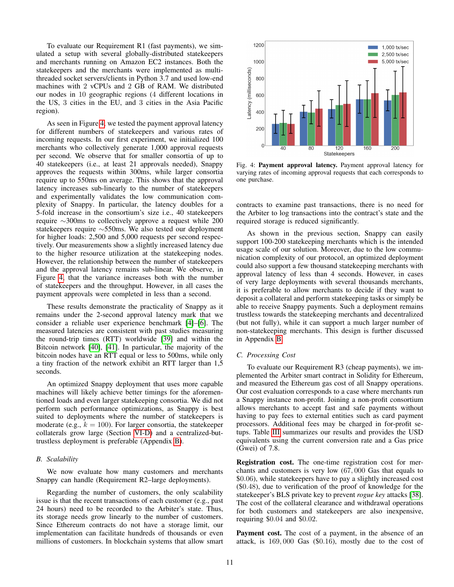To evaluate our Requirement R1 (fast payments), we simulated a setup with several globally-distributed statekeepers and merchants running on Amazon EC2 instances. Both the statekeepers and the merchants were implemented as multithreaded socket servers/clients in Python 3.7 and used low-end machines with 2 vCPUs and 2 GB of RAM. We distributed our nodes in 10 geographic regions (4 different locations in the US, 3 cities in the EU, and 3 cities in the Asia Pacific region).

As seen in Figure [4,](#page-10-1) we tested the payment approval latency for different numbers of statekeepers and various rates of incoming requests. In our first experiment, we initialized 100 merchants who collectively generate 1,000 approval requests per second. We observe that for smaller consortia of up to 40 statekeepers (i.e., at least 21 approvals needed), Snappy approves the requests within 300ms, while larger consortia require up to 550ms on average. This shows that the approval latency increases sub-linearly to the number of statekeepers and experimentally validates the low communication complexity of Snappy. In particular, the latency doubles for a 5-fold increase in the consortium's size i.e., 40 statekeepers require ∼300ms to collectively approve a request while 200 statekeepers require ∼550ms. We also tested our deployment for higher loads: 2,500 and 5,000 requests per second respectively. Our measurements show a slightly increased latency due to the higher resource utilization at the statekeeping nodes. However, the relationship between the number of statekeepers and the approval latency remains sub-linear. We observe, in Figure [4,](#page-10-1) that the variance increases both with the number of statekeepers and the throughput. However, in all cases the payment approvals were completed in less than a second.

These results demonstrate the practicality of Snappy as it remains under the 2-second approval latency mark that we consider a reliable user experience benchmark [\[4\]](#page-13-3)–[\[6\]](#page-13-4). The measured latencies are consistent with past studies measuring the round-trip times (RTT) worldwide [\[39\]](#page-14-24) and within the Bitcoin network [\[40\]](#page-14-25), [\[41\]](#page-14-26). In particular, the majority of the bitcoin nodes have an RTT equal or less to 500ms, while only a tiny fraction of the network exhibit an RTT larger than 1,5 seconds.

An optimized Snappy deployment that uses more capable machines will likely achieve better timings for the aforementioned loads and even larger statekeeping consortia. We did not perform such performance optimizations, as Snappy is best suited to deployments where the number of statekeepers is moderate (e.g.,  $k = 100$ ). For larger consortia, the statekeeper collaterals grow large (Section [VI-D\)](#page-11-0) and a centralized-buttrustless deployment is preferable (Appendix [B\)](#page-15-1).

## <span id="page-10-0"></span>*B. Scalability*

We now evaluate how many customers and merchants Snappy can handle (Requirement R2–large deployments).

Regarding the number of customers, the only scalability issue is that the recent transactions of each customer (e.g., past 24 hours) need to be recorded to the Arbiter's state. Thus, its storage needs grow linearly to the number of customers. Since Ethereum contracts do not have a storage limit, our implementation can facilitate hundreds of thousands or even millions of customers. In blockchain systems that allow smart

<span id="page-10-1"></span>

Fig. 4: Payment approval latency. Payment approval latency for varying rates of incoming approval requests that each corresponds to one purchase.

contracts to examine past transactions, there is no need for the Arbiter to log transactions into the contract's state and the required storage is reduced significantly.

As shown in the previous section, Snappy can easily support 100-200 statekeeping merchants which is the intended usage scale of our solution. Moreover, due to the low communication complexity of our protocol, an optimized deployment could also support a few thousand statekeeping merchants with approval latency of less than 4 seconds. However, in cases of very large deployments with several thousands merchants, it is preferable to allow merchants to decide if they want to deposit a collateral and perform statekeeping tasks or simply be able to receive Snappy payments. Such a deployment remains trustless towards the statekeeping merchants and decentralized (but not fully), while it can support a much larger number of non-statekeeping merchants. This design is further discussed in Appendix [B.](#page-15-2)

#### *C. Processing Cost*

To evaluate our Requirement R3 (cheap payments), we implemented the Arbiter smart contract in Solidity for Ethereum, and measured the Ethereum gas cost of all Snappy operations. Our cost evaluation corresponds to a case where merchants run a Snappy instance non-profit. Joining a non-profit consortium allows merchants to accept fast and safe payments without having to pay fees to external entities such as card payment processors. Additional fees may be charged in for-profit setups. Table [III](#page-11-1) summarizes our results and provides the USD equivalents using the current conversion rate and a Gas price (Gwei) of 7.8.

Registration cost. The one-time registration cost for merchants and customers is very low (67, 000 Gas that equals to \$0.06), while statekeepers have to pay a slightly increased cost (\$0.48), due to verification of the proof of knowledge for the statekeeper's BLS private key to prevent *rogue key* attacks [\[38\]](#page-14-23). The cost of the collateral clearance and withdrawal operations for both customers and statekeepers are also inexpensive, requiring \$0.04 and \$0.02.

Payment cost. The cost of a payment, in the absence of an attack, is 169, 000 Gas (\$0.16), mostly due to the cost of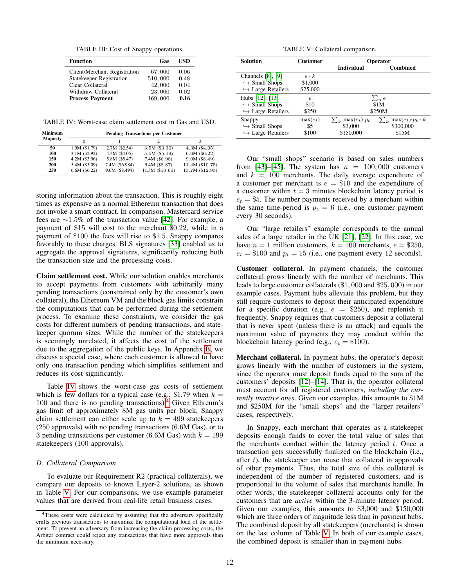TABLE III: Cost of Snappy operations.

<span id="page-11-1"></span>

| <b>Function</b>              | Gas     | USD  |
|------------------------------|---------|------|
| Client/Merchant Registration | 67,000  | 0.06 |
| Statekeeper Registration     | 510,000 | 0.48 |
| Clear Collateral             | 42,000  | 0.04 |
| Withdraw Collateral          | 23,000  | 0.02 |
| <b>Process Payment</b>       | 169,000 | 0.16 |

<span id="page-11-2"></span>TABLE IV: Worst-case claim settlement cost in Gas and USD.

| Minimum  | <b>Pending Transactions per Customer</b> |                 |                 |                  |
|----------|------------------------------------------|-----------------|-----------------|------------------|
| Majority |                                          |                 |                 |                  |
| 50       | 1.9M (\$1.79)                            | 2.7M (\$2.54)   | $3.5M($ \$3.30) | 4.3M (\$4.05)    |
| 100      | $3.1M$ (\$2.92)                          | $4.3M$ (\$4.05) | 5.5M (\$5.19)   | 6.6M (\$6.22)    |
| 150      | 4.2M (\$3.96)                            | 5.8M (\$5.47)   | 7.4M (\$6.98)   | $9.0M$ $(S8.49)$ |
| 200      | 5.4M (\$5.09)                            | 7.4M (\$6.984)  | 9.4M (\$8.87)   | 11.4M (\$10.75)  |
| 250      | $6.6M$ $($6.22)$                         | 9.0M (\$8.494)  | 11.3M (\$10.66) | 13.7M (\$12.93)  |

storing information about the transaction. This is roughly eight times as expensive as a normal Ethereum transaction that does not invoke a smart contract. In comparison, Mastercard service fees are ∼1.5% of the transaction value [\[42\]](#page-14-27). For example, a payment of \$15 will cost to the merchant \$0.22, while in a payment of \$100 the fees will rise to \$1.5. Snappy compares favorably to these charges. BLS signatures [\[33\]](#page-14-18) enabled us to aggregate the approval signatures, significantly reducing both the transaction size and the processing costs.

Claim settlement cost. While our solution enables merchants to accept payments from customers with arbitrarily many pending transactions (constrained only by the customer's own collateral), the Ethereum VM and the block gas limits constrain the computations that can be performed during the settlement process. To examine these constraints, we consider the gas costs for different numbers of pending transactions, and statekeeper quorum sizes. While the number of the statekeepers is seemingly unrelated, it affects the cost of the settlement due to the aggregation of the public keys. In Appendix [B,](#page-15-1) we discuss a special case, where each customer is allowed to have only one transaction pending which simplifies settlement and reduces its cost significantly.

Table [IV](#page-11-2) shows the worst-case gas costs of settlement which is few dollars for a typical case (e.g., \$1.79 when  $k =$ 100 and there is no pending transactions).<sup>[4](#page-11-3)</sup> Given Ethreum's gas limit of approximately 8M gas units per block, Snappy claim settlement can either scale up to  $k = 499$  statekeepers (250 approvals) with no pending transactions (6.6M Gas), or to 3 pending transactions per customer (6.6M Gas) with  $k = 199$ statekeepers (100 approvals).

## <span id="page-11-0"></span>*D. Collateral Comparison*

To evaluate our Requirement R2 (practical collaterals), we compare our deposits to known Layer-2 solutions, as shown in Table [V.](#page-11-4) For our comparisons, we use example parameter values that are derived from real-life retail business cases.

TABLE V: Collateral comparison.

<span id="page-11-4"></span>

| <b>Solution</b>                   | <b>Customer</b> | <b>Operator</b>                |                                             |
|-----------------------------------|-----------------|--------------------------------|---------------------------------------------|
|                                   |                 | Individual                     | <b>Combined</b>                             |
| Channels [8], [9]                 | $e\cdot k$      |                                |                                             |
| $\hookrightarrow$ Small Shops     | \$1,000         |                                |                                             |
| $\hookrightarrow$ Large Retailers | \$25,000        |                                |                                             |
| Hubs [12], [13]                   | $\epsilon$      | $\sum_n e$                     |                                             |
| $\hookrightarrow$ Small Shops     | \$10            | \$1M                           |                                             |
| $\hookrightarrow$ Large Retailers | \$250           | \$250M                         |                                             |
| Snappy                            | $max(e_t)$      | $\sum_{k} \max(e_t) \cdot p_t$ | $\max(e_t) \cdot p_t \cdot k$<br>$\sum_{k}$ |
| $\hookrightarrow$ Small Shops     | \$5             | \$3,000                        | \$300,000                                   |
| $\hookrightarrow$ Large Retailers | \$100           | \$150,000                      | \$15M                                       |

Our "small shops" scenario is based on sales numbers from [\[43\]](#page-14-28)–[\[45\]](#page-14-29). The system has  $n = 100,000$  customers and  $k = 100$  merchants. The daily average expenditure of a customer per merchant is  $e = $10$  and the expenditure of a customer within  $t = 3$  minutes blockchain latency period is  $e_t = $5$ . The number payments received by a merchant within the same time-period is  $p_t = 6$  (i.e., one customer payment every 30 seconds).

Our "large retailers" example corresponds to the annual sales of a large retailer in the UK [\[21\]](#page-14-7), [\[22\]](#page-14-8). In this case, we have  $n = 1$  million customers,  $k = 100$  merchants,  $e = $250$ ,  $e_t = $100$  and  $p_t = 15$  (i.e., one payment every 12 seconds).

Customer collateral. In payment channels, the customer collateral grows linearly with the number of merchants. This leads to large customer collaterals (\$1, 000 and \$25, 000) in our example cases. Payment hubs alleviate this problem, but they still require customers to deposit their anticipated expenditure for a specific duration (e.g.,  $e = $250$ ), and replenish it frequently. Snappy requires that customers deposit a collateral that is never spent (unless there is an attack) and equals the maximum value of payments they may conduct within the blockchain latency period (e.g.,  $e_t = \$100$ ).

Merchant collateral. In payment hubs, the operator's deposit grows linearly with the number of customers in the system, since the operator must deposit funds equal to the sum of the customers' deposits [\[12\]](#page-13-10)–[\[14\]](#page-14-0). That is, the operator collateral must account for all registered customers, *including the currently inactive ones*. Given our examples, this amounts to \$1M and \$250M for the "small shops" and the "larger retailers" cases, respectively.

In Snappy, each merchant that operates as a statekeeper deposits enough funds to cover the total value of sales that the merchants conduct within the latency period  $t$ . Once a transaction gets successfully finalized on the blockchain (i.e., after  $t$ ), the statekeeper can reuse that collateral in approvals of other payments. Thus, the total size of this collateral is independent of the number of registered customers, and is proportional to the volume of sales that merchants handle. In other words, the statekeeper collateral accounts only for the customers that are *active* within the 3-minute latency period. Given our examples, this amounts to \$3,000 and \$150,000 which are three orders of magnitude less than in payment hubs. The combined deposit by all statekeepers (merchants) is shown on the last column of Table [V.](#page-11-4) In both of our example cases, the combined deposit is smaller than in payment hubs.

<span id="page-11-3"></span><sup>&</sup>lt;sup>4</sup>These costs were calculated by assuming that the adversary specifically crafts previous transactions to maximize the computational load of the settlement. To prevent an adversary from increasing the claim processing costs, the Arbiter contract could reject any transactions that have more approvals than the minimum necessary.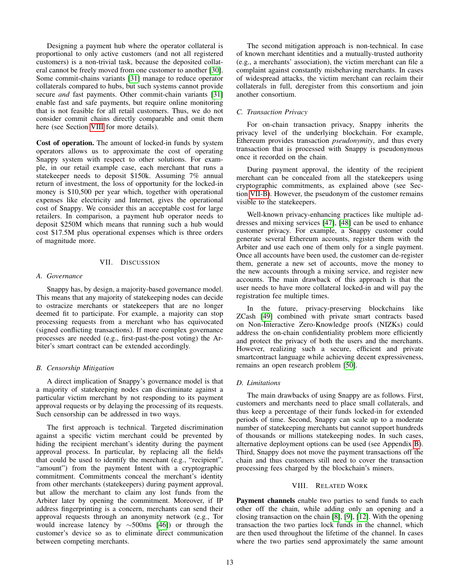Designing a payment hub where the operator collateral is proportional to only active customers (and not all registered customers) is a non-trivial task, because the deposited collateral cannot be freely moved from one customer to another [\[30\]](#page-14-15). Some commit-chains variants [\[31\]](#page-14-16) manage to reduce operator collaterals compared to hubs, but such systems cannot provide secure *and* fast payments. Other commit-chain variants [\[31\]](#page-14-16) enable fast and safe payments, but require online monitoring that is not feasible for all retail customers. Thus, we do not consider commit chains directly comparable and omit them here (see Section [VIII](#page-12-1) for more details).

Cost of operation. The amount of locked-in funds by system operators allows us to approximate the cost of operating Snappy system with respect to other solutions. For example, in our retail example case, each merchant that runs a statekeeper needs to deposit \$150k. Assuming 7% annual return of investment, the loss of opportunity for the locked-in money is \$10,500 per year which, together with operational expenses like electricity and Internet, gives the operational cost of Snappy. We consider this an acceptable cost for large retailers. In comparison, a payment hub operator needs to deposit \$250M which means that running such a hub would cost \$17.5M plus operational expenses which is three orders of magnitude more.

## VII. DISCUSSION

## <span id="page-12-0"></span>*A. Governance*

Snappy has, by design, a majority-based governance model. This means that any majority of statekeeping nodes can decide to ostracize merchants or statekeepers that are no longer deemed fit to participate. For example, a majority can stop processing requests from a merchant who has equivocated (signed conflicting transactions). If more complex governance processes are needed (e.g., first-past-the-post voting) the Arbiter's smart contract can be extended accordingly.

## <span id="page-12-2"></span>*B. Censorship Mitigation*

A direct implication of Snappy's governance model is that a majority of statekeeping nodes can discriminate against a particular victim merchant by not responding to its payment approval requests or by delaying the processing of its requests. Such censorship can be addressed in two ways.

The first approach is technical. Targeted discrimination against a specific victim merchant could be prevented by hiding the recipient merchant's identity during the payment approval process. In particular, by replacing all the fields that could be used to identify the merchant (e.g., "recipient", "amount") from the payment Intent with a cryptographic commitment. Commitments conceal the merchant's identity from other merchants (statekeepers) during payment approval, but allow the merchant to claim any lost funds from the Arbiter later by opening the commitment. Moreover, if IP address fingerprinting is a concern, merchants can send their approval requests through an anonymity network (e.g., Tor would increase latency by ∼500ms [\[46\]](#page-14-30)) or through the customer's device so as to eliminate direct communication between competing merchants.

The second mitigation approach is non-technical. In case of known merchant identities and a mutually-trusted authority (e.g., a merchants' association), the victim merchant can file a complaint against constantly misbehaving merchants. In cases of widespread attacks, the victim merchant can reclaim their collaterals in full, deregister from this consortium and join another consortium.

### *C. Transaction Privacy*

For on-chain transaction privacy, Snappy inherits the privacy level of the underlying blockchain. For example, Ethereum provides transaction *pseudonymity*, and thus every transaction that is processed with Snappy is pseudonymous once it recorded on the chain.

During payment approval, the identity of the recipient merchant can be concealed from all the statekeepers using cryptographic commitments, as explained above (see Section [VII-B\)](#page-12-2). However, the pseudonym of the customer remains visible to the statekeepers.

Well-known privacy-enhancing practices like multiple addresses and mixing services [\[47\]](#page-14-31), [\[48\]](#page-14-32) can be used to enhance customer privacy. For example, a Snappy customer could generate several Ethereum accounts, register them with the Arbiter and use each one of them only for a single payment. Once all accounts have been used, the customer can de-register them, generate a new set of accounts, move the money to the new accounts through a mixing service, and register new accounts. The main drawback of this approach is that the user needs to have more collateral locked-in and will pay the registration fee multiple times.

In the future, privacy-preserving blockchains like ZCash [\[49\]](#page-14-33) combined with private smart contracts based on Non-Interactive Zero-Knowledge proofs (NIZKs) could address the on-chain confidentiality problem more efficiently and protect the privacy of both the users and the merchants. However, realizing such a secure, efficient and private smartcontract language while achieving decent expressiveness, remains an open research problem [\[50\]](#page-14-34).

## *D. Limitations*

The main drawbacks of using Snappy are as follows. First, customers and merchants need to place small collaterals, and thus keep a percentage of their funds locked-in for extended periods of time. Second, Snappy can scale up to a moderate number of statekeeping merchants but cannot support hundreds of thousands or millions statekeeping nodes. In such cases, alternative deployment options can be used (see Appendix [B\)](#page-15-2). Third, Snappy does not move the payment transactions off the chain and thus customers still need to cover the transaction processing fees charged by the blockchain's miners.

# VIII. RELATED WORK

<span id="page-12-1"></span>Payment channels enable two parties to send funds to each other off the chain, while adding only an opening and a closing transaction on the chain [\[8\]](#page-13-6), [\[9\]](#page-13-7), [\[12\]](#page-13-10). With the opening transaction the two parties lock funds in the channel, which are then used throughout the lifetime of the channel. In cases where the two parties send approximately the same amount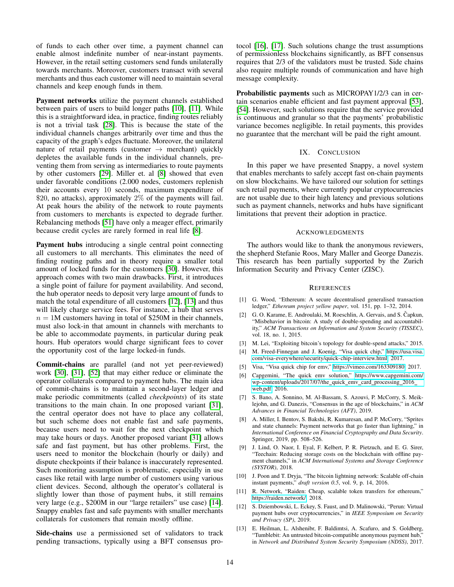of funds to each other over time, a payment channel can enable almost indefinite number of near-instant payments. However, in the retail setting customers send funds unilaterally towards merchants. Moreover, customers transact with several merchants and thus each customer will need to maintain several channels and keep enough funds in them.

Payment networks utilize the payment channels established between pairs of users to build longer paths [\[10\]](#page-13-8), [\[11\]](#page-13-9). While this is a straightforward idea, in practice, finding routes reliably is not a trivial task [\[28\]](#page-14-13). This is because the state of the individual channels changes arbitrarily over time and thus the capacity of the graph's edges fluctuate. Moreover, the unilateral nature of retail payments (customer  $\rightarrow$  merchant) quickly depletes the available funds in the individual channels, preventing them from serving as intermediaries to route payments by other customers [\[29\]](#page-14-14). Miller et. al [\[8\]](#page-13-6) showed that even under favorable conditions (2.000 nodes, customers replenish their accounts every 10 seconds, maximum expenditure of \$20, no attacks), approximately 2% of the payments will fail. At peak hours the ability of the network to route payments from customers to merchants is expected to degrade further. Rebalancing methods [\[51\]](#page-14-35) have only a meager effect, primarily because credit cycles are rarely formed in real life [\[8\]](#page-13-6).

Payment hubs introducing a single central point connecting all customers to all merchants. This eliminates the need of finding routing paths and in theory require a smaller total amount of locked funds for the customers [\[30\]](#page-14-15). However, this approach comes with two main drawbacks. First, it introduces a single point of failure for payment availability. And second, the hub operator needs to deposit very large amount of funds to match the total expenditure of all customers [\[12\]](#page-13-10), [\[13\]](#page-13-11) and thus will likely charge service fees. For instance, a hub that serves  $n = 1$ M customers having in total of \$250M in their channels, must also lock-in that amount in channels with merchants to be able to accommodate payments, in particular during peak hours. Hub operators would charge significant fees to cover the opportunity cost of the large locked-in funds.

Commit-chains are parallel (and not yet peer-reviewed) work [\[30\]](#page-14-15), [\[31\]](#page-14-16), [\[52\]](#page-14-36) that may either reduce or eliminate the operator collaterals compared to payment hubs. The main idea of commit-chains is to maintain a second-layer ledger and make periodic commitments (called *checkpoints*) of its state transitions to the main chain. In one proposed variant [\[31\]](#page-14-16), the central operator does not have to place any collateral, but such scheme does not enable fast and safe payments, because users need to wait for the next checkpoint which may take hours or days. Another proposed variant [\[31\]](#page-14-16) allows safe and fast payment, but has other problems. First, the users need to monitor the blockchain (hourly or daily) and dispute checkpoints if their balance is inaccurately represented. Such monitoring assumption is problematic, especially in use cases like retail with large number of customers using various client devices. Second, although the operator's collateral is slightly lower than those of payment hubs, it still remains very large (e.g., \$200M in our "large retailers" use case) [\[14\]](#page-14-0). Snappy enables fast and safe payments with smaller merchants collaterals for customers that remain mostly offline.

Side-chains use a permissioned set of validators to track pending transactions, typically using a BFT consensus protocol [\[16\]](#page-14-2), [\[17\]](#page-14-3). Such solutions change the trust assumptions of permissionless blockchains significantly, as BFT consensus requires that 2/3 of the validators must be trusted. Side chains also require multiple rounds of communication and have high message complexity.

Probabilistic payments such as MICROPAY1/2/3 can in certain scenarios enable efficient and fast payment approval [\[53\]](#page-14-37), [\[54\]](#page-14-38). However, such solutions require that the service provided is continuous and granular so that the payments' probabilistic variance becomes negligible. In retail payments, this provides no guarantee that the merchant will be paid the right amount.

## IX. CONCLUSION

<span id="page-13-12"></span>In this paper we have presented Snappy, a novel system that enables merchants to safely accept fast on-chain payments on slow blockchains. We have tailored our solution for settings such retail payments, where currently popular cryptocurrencies are not usable due to their high latency and previous solutions such as payment channels, networks and hubs have significant limitations that prevent their adoption in practice.

## ACKNOWLEDGMENTS

The authors would like to thank the anonymous reviewers, the shepherd Stefanie Roos, Mary Maller and George Danezis. This research has been partially supported by the Zurich Information Security and Privacy Center (ZISC).

## **REFERENCES**

- <span id="page-13-0"></span>[1] G. Wood, "Ethereum: A secure decentralised generalised transaction ledger," *Ethereum project yellow paper*, vol. 151, pp. 1–32, 2014.
- <span id="page-13-1"></span>[2] G. O. Karame, E. Androulaki, M. Roeschlin, A. Gervais, and S. Čapkun, "Misbehavior in bitcoin: A study of double-spending and accountability," *ACM Transactions on Information and System Security (TISSEC)*, vol. 18, no. 1, 2015.
- <span id="page-13-2"></span>[3] M. Lei, "Exploiting bitcoin's topology for double-spend attacks," 2015.
- <span id="page-13-3"></span>[4] M. Freed-Finnegan and J. Koenig, "Visa quick chip," [https://usa.visa.](https://usa.visa.com/visa-everywhere/security/quick-chip-interview.html) [com/visa-everywhere/security/quick-chip-interview.html,](https://usa.visa.com/visa-everywhere/security/quick-chip-interview.html) 2017.
- [5] Visa, "Visa quick chip for emv," [https://vimeo.com/163309180,](https://vimeo.com/163309180) 2017.
- <span id="page-13-4"></span>[6] Capgemini, "The quick emv solution," [https://www.capgemini.com/](https://www.capgemini.com/wp-content/uploads/2017/07/the_quick_emv_card_processing_2016_web.pdf) [wp-content/uploads/2017/07/the](https://www.capgemini.com/wp-content/uploads/2017/07/the_quick_emv_card_processing_2016_web.pdf)\_quick\_emv\_card\_processing\_2016\_ [web.pdf,](https://www.capgemini.com/wp-content/uploads/2017/07/the_quick_emv_card_processing_2016_web.pdf) 2016.
- <span id="page-13-5"></span>[7] S. Bano, A. Sonnino, M. Al-Bassam, S. Azouvi, P. McCorry, S. Meiklejohn, and G. Danezis, "Consensus in the age of blockchains," in *ACM Advances in Financial Technologies (AFT)*, 2019.
- <span id="page-13-6"></span>[8] A. Miller, I. Bentov, S. Bakshi, R. Kumaresan, and P. McCorry, "Sprites and state channels: Payment networks that go faster than lightning," in *International Conference on Financial Cryptography and Data Security*. Springer, 2019, pp. 508–526.
- <span id="page-13-7"></span>[9] J. Lind, O. Naor, I. Eyal, F. Kelbert, P. R. Pietzuch, and E. G. Sirer, "Teechain: Reducing storage costs on the blockchain with offline payment channels," in *ACM International Systems and Storage Conference (SYSTOR)*, 2018.
- <span id="page-13-8"></span>[10] J. Poon and T. Dryja, "The bitcoin lightning network: Scalable off-chain instant payments," *draft version 0.5*, vol. 9, p. 14, 2016.
- <span id="page-13-9"></span>[11] R. Network, "Raiden: Cheap, scalable token transfers for ethereum," [https://raiden.network/,](https://raiden.network/) 2018.
- <span id="page-13-10"></span>[12] S. Dziembowski, L. Eckey, S. Faust, and D. Malinowski, "Perun: Virtual payment hubs over cryptocurrencies," in *IEEE Symposium on Security and Privacy (SP)*, 2019.
- <span id="page-13-11"></span>[13] E. Heilman, L. Alshenibr, F. Baldimtsi, A. Scafuro, and S. Goldberg, "Tumblebit: An untrusted bitcoin-compatible anonymous payment hub," in *Network and Distributed System Security Symposium (NDSS)*, 2017.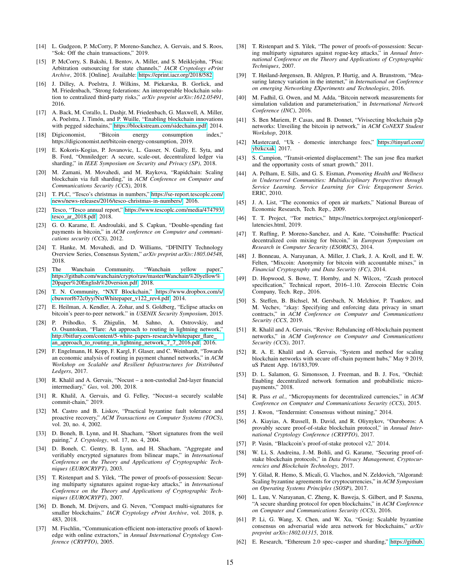- <span id="page-14-0"></span>[14] L. Gudgeon, P. McCorry, P. Moreno-Sanchez, A. Gervais, and S. Roos, "Sok: Off the chain transactions," 2019.
- <span id="page-14-1"></span>[15] P. McCorry, S. Bakshi, I. Bentov, A. Miller, and S. Meiklejohn, "Pisa: Arbitration outsourcing for state channels," *IACR Cryptology ePrint Archive*, 2018. [Online]. Available:<https://eprint.iacr.org/2018/582>
- <span id="page-14-2"></span>[16] J. Dilley, A. Poelstra, J. Wilkins, M. Piekarska, B. Gorlick, and M. Friedenbach, "Strong federations: An interoperable blockchain solution to centralized third-party risks," *arXiv preprint arXiv:1612.05491*, 2016.
- <span id="page-14-3"></span>[17] A. Back, M. Corallo, L. Dashjr, M. Friedenbach, G. Maxwell, A. Miller, A. Poelstra, J. Timón, and P. Wuille, "Enabling blockchain innovations with pegged sidechains," [https://blockstream.com/sidechains.pdf,](https://blockstream.com/sidechains.pdf) 2014.
- <span id="page-14-4"></span>[18] Digiconomist, "Bitcoin energy consumption index," https://digiconomist.net/bitcoin-energy-consumption, 2019.
- <span id="page-14-5"></span>[19] E. Kokoris-Kogias, P. Jovanovic, L. Gasser, N. Gailly, E. Syta, and B. Ford, "Omniledger: A secure, scale-out, decentralized ledger via sharding," in *IEEE Symposium on Security and Privacy (SP)*, 2018.
- <span id="page-14-6"></span>[20] M. Zamani, M. Movahedi, and M. Raykova, "Rapidchain: Scaling blockchain via full sharding," in *ACM Conference on Computer and Communications Security (CCS)*, 2018.
- <span id="page-14-7"></span>[21] T. PLC, "Tesco's christmas in numbers," [https://se-report.tescoplc.com/](https://se-report.tescoplc.com/news/news-releases/2016/tesco-christmas-in-numbers/) [news/news-releases/2016/tesco-christmas-in-numbers/,](https://se-report.tescoplc.com/news/news-releases/2016/tesco-christmas-in-numbers/) 2016.
- <span id="page-14-8"></span>[22] Tesco, "Tesco annual report," [https://www.tescoplc.com/media/474793/](https://www.tescoplc.com/media/474793/tesco_ar_2018.pdf) tesco ar [2018.pdf,](https://www.tescoplc.com/media/474793/tesco_ar_2018.pdf) 2018.
- <span id="page-14-9"></span>[23] G. O. Karame, E. Androulaki, and S. Capkun, "Double-spending fast payments in bitcoin," in *ACM conference on Computer and communications security (CCS)*, 2012.
- <span id="page-14-10"></span>[24] T. Hanke, M. Movahedi, and D. Williams, "DFINITY Technology Overview Series, Consensus System," *arXiv preprint arXiv:1805.04548*, 2018.
- [25] The Wanchain Community, "Wanchain yellow paper," [https://github.com/wanchain/crypto/raw/master/Wanchain%20yellow%](https://github.com/wanchain/crypto/raw/master/Wanchain%20yellow%20paper%20English%20version.pdf) [20paper%20English%20version.pdf,](https://github.com/wanchain/crypto/raw/master/Wanchain%20yellow%20paper%20English%20version.pdf) 2018.
- <span id="page-14-11"></span>[26] T. N. Community, "NXT Blockchain," [https://www.dropbox.com/s/](https://www.dropbox.com/s/cbuwrorf672c0yy/NxtWhitepaper_v122_rev4.pdf) [cbuwrorf672c0yy/NxtWhitepaper](https://www.dropbox.com/s/cbuwrorf672c0yy/NxtWhitepaper_v122_rev4.pdf)\_v122\_rev4.pdf, 2014.
- <span id="page-14-12"></span>[27] E. Heilman, A. Kendler, A. Zohar, and S. Goldberg, "Eclipse attacks on bitcoin's peer-to-peer network." in *USENIX Security Symposium*, 2015.
- <span id="page-14-13"></span>[28] P. Prihodko, S. Zhigulin, M. Sahno, A. Ostrovskiy, and O. Osuntokun, "Flare: An approach to routing in lightning network," [http://bitfury.com/content/5-white-papers-research/whitepaper](http://bitfury.com/content/5-white-papers-research/whitepaper_flare_an_approach_to_routing_in_lightning_network_7_7_2016.pdf)\_flare\_ an\_approach\_to\_routing\_in\_lightning\_network\_7\_7\_[2016.pdf,](http://bitfury.com/content/5-white-papers-research/whitepaper_flare_an_approach_to_routing_in_lightning_network_7_7_2016.pdf) 2016.
- <span id="page-14-14"></span>[29] F. Engelmann, H. Kopp, F. Kargl, F. Glaser, and C. Weinhardt, "Towards an economic analysis of routing in payment channel networks," in *ACM Workshop on Scalable and Resilient Infrastructures for Distributed Ledgers*, 2017.
- <span id="page-14-15"></span>[30] R. Khalil and A. Gervais, "Nocust – a non-custodial 2nd-layer financial intermediary," *Gas*, vol. 200, 2018.
- <span id="page-14-16"></span>[31] R. Khalil, A. Gervais, and G. Felley, "Nocust–a securely scalable commit-chain," 2019.
- <span id="page-14-17"></span>[32] M. Castro and B. Liskov, "Practical byzantine fault tolerance and proactive recovery," *ACM Transactions on Computer Systems (TOCS)*, vol. 20, no. 4, 2002.
- <span id="page-14-18"></span>[33] D. Boneh, B. Lynn, and H. Shacham, "Short signatures from the weil pairing," *J. Cryptology*, vol. 17, no. 4, 2004.
- <span id="page-14-19"></span>[34] D. Boneh, C. Gentry, B. Lynn, and H. Shacham, "Aggregate and verifiably encrypted signatures from bilinear maps," in *International Conference on the Theory and Applications of Cryptographic Techniques (EUROCRYPT)*, 2003.
- <span id="page-14-20"></span>[35] T. Ristenpart and S. Yilek, "The power of proofs-of-possession: Securing multiparty signatures against rogue-key attacks," in *International Conference on the Theory and Applications of Cryptographic Techniques (EUROCRYPT)*, 2007.
- <span id="page-14-22"></span>[36] D. Boneh, M. Drijvers, and G. Neven, "Compact multi-signatures for smaller blockchains," *IACR Cryptology ePrint Archive*, vol. 2018, p. 483, 2018.
- <span id="page-14-21"></span>[37] M. Fischlin, "Communication-efficient non-interactive proofs of knowledge with online extractors," in *Annual International Cryptology Conference (CRYPTO)*, 2005.
- <span id="page-14-23"></span>[38] T. Ristenpart and S. Yilek, "The power of proofs-of-possession: Securing multiparty signatures against rogue-key attacks," in *Annual International Conference on the Theory and Applications of Cryptographic Techniques*, 2007.
- <span id="page-14-24"></span>[39] T. Høiland-Jørgensen, B. Ahlgren, P. Hurtig, and A. Brunstrom, "Measuring latency variation in the internet," in *International on Conference on emerging Networking EXperiments and Technologies*, 2016.
- <span id="page-14-25"></span>[40] M. Fadhil, G. Owen, and M. Adda, "Bitcoin network measurements for simulation validation and parameterisation," in *International Network Conference (INC)*, 2016.
- <span id="page-14-26"></span>[41] S. Ben Mariem, P. Casas, and B. Donnet, "Vivisecting blockchain p2p networks: Unveiling the bitcoin ip network," in *ACM CoNEXT Student Workshop*, 2018.
- <span id="page-14-27"></span>[42] Mastercard, "Uk - domestic interchange fees," [https://tinyurl.com/](https://tinyurl.com/ybzkcxak) [ybzkcxak,](https://tinyurl.com/ybzkcxak) 2017.
- <span id="page-14-28"></span>[43] S. Campion, "Transit-oriented displacement?: The san jose flea market and the opportunity costs of smart growth," 2011.
- [44] A. Pelham, E. Sills, and G. S. Eisman, *Promoting Health and Wellness in Underserved Communities: Multidisciplinary Perspectives through Service Learning. Service Learning for Civic Engagement Series.* ERIC, 2010.
- <span id="page-14-29"></span>[45] J. A. List, "The economics of open air markets," National Bureau of Economic Research, Tech. Rep., 2009.
- <span id="page-14-30"></span>[46] T. T. Project, "Tor metrics," https://metrics.torproject.org/onionperflatencies.html, 2019.
- <span id="page-14-31"></span>[47] T. Ruffing, P. Moreno-Sanchez, and A. Kate, "Coinshuffle: Practical decentralized coin mixing for bitcoin," in *European Symposium on Research in Computer Security (ESORICS)*, 2014.
- <span id="page-14-32"></span>[48] J. Bonneau, A. Narayanan, A. Miller, J. Clark, J. A. Kroll, and E. W. Felten, "Mixcoin: Anonymity for bitcoin with accountable mixes," in *Financial Cryptography and Data Security (FC)*, 2014.
- <span id="page-14-33"></span>[49] D. Hopwood, S. Bowe, T. Hornby, and N. Wilcox, "Zcash protocol specification," Technical report, 2016–1.10. Zerocoin Electric Coin Company, Tech. Rep., 2016.
- <span id="page-14-34"></span>[50] S. Steffen, B. Bichsel, M. Gersbach, N. Melchior, P. Tsankov, and M. Vechev, "zkay: Specifying and enforcing data privacy in smart contracts," in *ACM Conference on Computer and Communications Security (CCS*, 2019.
- <span id="page-14-35"></span>[51] R. Khalil and A. Gervais, "Revive: Rebalancing off-blockchain payment networks," in *ACM Conference on Computer and Communications Security (CCS)*, 2017.
- <span id="page-14-36"></span>[52] R. A. E. Khalil and A. Gervais, "System and method for scaling blockchain networks with secure off-chain payment hubs," May 9 2019, uS Patent App. 16/183,709.
- <span id="page-14-37"></span>[53] D. L. Salamon, G. Simonsson, J. Freeman, and B. J. Fox, "Orchid: Enabling decentralized network formation and probabilistic micropayments," 2018.
- <span id="page-14-38"></span>[54] R. Pass *et al.*, "Micropayments for decentralized currencies," in *ACM Conference on Computer and Communications Security (CCS)*, 2015.
- <span id="page-14-39"></span>[55] J. Kwon, "Tendermint: Consensus without mining," 2014.
- <span id="page-14-41"></span>[56] A. Kiayias, A. Russell, B. David, and R. Oliynykov, "Ouroboros: A provably secure proof-of-stake blockchain protocol," in *Annual International Cryptology Conference (CRYPTO)*, 2017.
- [57] P. Vasin, "Blackcoin's proof-of-stake protocol v2," 2014.
- <span id="page-14-40"></span>[58] W. Li, S. Andreina, J.-M. Bohli, and G. Karame, "Securing proof-ofstake blockchain protocols," in *Data Privacy Management, Cryptocurrencies and Blockchain Technology*, 2017.
- <span id="page-14-42"></span>[59] Y. Gilad, R. Hemo, S. Micali, G. Vlachos, and N. Zeldovich, "Algorand: Scaling byzantine agreements for cryptocurrencies," in *ACM Symposium on Operating Systems Principles (SOSP)*, 2017.
- <span id="page-14-43"></span>[60] L. Luu, V. Narayanan, C. Zheng, K. Baweja, S. Gilbert, and P. Saxena, "A secure sharding protocol for open blockchains," in *ACM Conference on Computer and Communications Security (CCS)*, 2016.
- <span id="page-14-44"></span>[61] P. Li, G. Wang, X. Chen, and W. Xu, "Gosig: Scalable byzantine consensus on adversarial wide area network for blockchains," *arXiv preprint arXiv:1802.01315*, 2018.
- <span id="page-14-45"></span>[62] E. Research, "Ethereum 2.0 spec–casper and sharding," [https://github.](https://github.com/ethereum/eth2.0-specs/blob/master/specs/core/0_beacon-chain.md)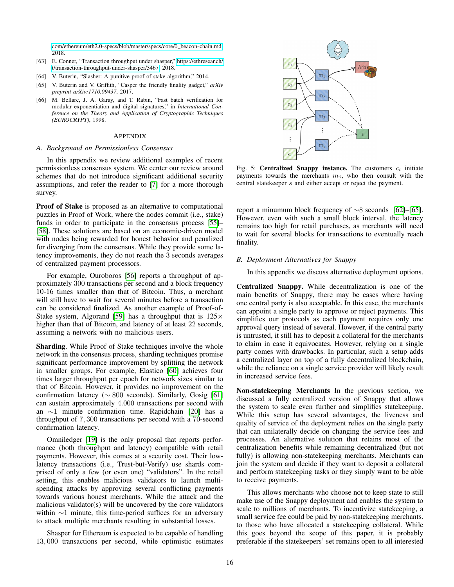[com/ethereum/eth2.0-specs/blob/master/specs/core/0](https://github.com/ethereum/eth2.0-specs/blob/master/specs/core/0_beacon-chain.md)\_beacon-chain.md, 2018.

- [63] E. Conner, "Transaction throughput under shasper," [https://ethresear.ch/](https://ethresear.ch/t/transaction-throughput-under-shasper/3467) [t/transaction-throughput-under-shasper/3467,](https://ethresear.ch/t/transaction-throughput-under-shasper/3467) 2018.
- [64] V. Buterin, "Slasher: A punitive proof-of-stake algorithm," 2014.
- <span id="page-15-3"></span>[65] V. Buterin and V. Griffith, "Casper the friendly finality gadget," *arXiv preprint arXiv:1710.09437*, 2017.
- <span id="page-15-4"></span>[66] M. Bellare, J. A. Garay, and T. Rabin, "Fast batch verification for modular exponentiation and digital signatures," in *International Conference on the Theory and Application of Cryptographic Techniques (EUROCRYPT)*, 1998.

#### APPENDIX

#### <span id="page-15-0"></span>*A. Background on Permissionless Consensus*

In this appendix we review additional examples of recent permissionless consensus system. We center our review around schemes that do not introduce significant additional security assumptions, and refer the reader to [\[7\]](#page-13-5) for a more thorough survey.

Proof of Stake is proposed as an alternative to computational puzzles in Proof of Work, where the nodes commit (i.e., stake) funds in order to participate in the consensus process [\[55\]](#page-14-39)– [\[58\]](#page-14-40). These solutions are based on an economic-driven model with nodes being rewarded for honest behavior and penalized for diverging from the consensus. While they provide some latency improvements, they do not reach the 3 seconds averages of centralized payment processors.

For example, Ouroboros [\[56\]](#page-14-41) reports a throughput of approximately 300 transactions per second and a block frequency 10-16 times smaller than that of Bitcoin. Thus, a merchant will still have to wait for several minutes before a transaction can be considered finalized. As another example of Proof-of-Stake system, Algorand [\[59\]](#page-14-42) has a throughput that is  $125\times$ higher than that of Bitcoin, and latency of at least 22 seconds, assuming a network with no malicious users.

Sharding. While Proof of Stake techniques involve the whole network in the consensus process, sharding techniques promise significant performance improvement by splitting the network in smaller groups. For example, Elastico [\[60\]](#page-14-43) achieves four times larger throughput per epoch for network sizes similar to that of Bitcoin. However, it provides no improvement on the confirmation latency ( $\sim 800$  seconds). Similarly, Gosig [\[61\]](#page-14-44) can sustain approximately 4.000 transactions per second with an ∼1 minute confirmation time. Rapidchain [\[20\]](#page-14-6) has a throughput of 7, 300 transactions per second with a 70-second confirmation latency.

Omniledger [\[19\]](#page-14-5) is the only proposal that reports performance (both throughput and latency) compatible with retail payments. However, this comes at a security cost. Their lowlatency transactions (i.e., Trust-but-Verify) use shards comprised of only a few (or even one) "validators". In the retail setting, this enables malicious validators to launch multispending attacks by approving several conflicting payments towards various honest merchants. While the attack and the malicious validator(s) will be uncovered by the core validators within ∼1 minute, this time-period suffices for an adversary to attack multiple merchants resulting in substantial losses.

Shasper for Ethereum is expected to be capable of handling 13, 000 transactions per second, while optimistic estimates

<span id="page-15-2"></span>

Fig. 5: Centralized Snappy instance. The customers  $c_i$  initiate payments towards the merchants  $m<sub>j</sub>$ , who then consult with the central statekeeper s and either accept or reject the payment.

report a minumum block frequency of ∼8 seconds [\[62\]](#page-14-45)–[\[65\]](#page-15-3). However, even with such a small block interval, the latency remains too high for retail purchases, as merchants will need to wait for several blocks for transactions to eventually reach finality.

# <span id="page-15-1"></span>*B. Deployment Alternatives for Snappy*

In this appendix we discuss alternative deployment options.

Centralized Snappy. While decentralization is one of the main benefits of Snappy, there may be cases where having one central party is also acceptable. In this case, the merchants can appoint a single party to approve or reject payments. This simplifies our protocols as each payment requires only one approval query instead of several. However, if the central party is untrusted, it still has to deposit a collateral for the merchants to claim in case it equivocates. However, relying on a single party comes with drawbacks. In particular, such a setup adds a centralized layer on top of a fully decentralized blockchain, while the reliance on a single service provider will likely result in increased service fees.

Non-statekeeping Merchants In the previous section, we discussed a fully centralized version of Snappy that allows the system to scale even further and simplifies statekeeping. While this setup has several advantages, the liveness and quality of service of the deployment relies on the single party that can unilaterally decide on changing the service fees and processes. An alternative solution that retains most of the centralization benefits while remaining decentralized (but not fully) is allowing non-statekeeping merchants. Merchants can join the system and decide if they want to deposit a collateral and perform statekeeping tasks or they simply want to be able to receive payments.

This allows merchants who choose not to keep state to still make use of the Snappy deployment and enables the system to scale to millions of merchants. To incentivize statekeeping, a small service fee could be paid by non-statekeeping merchants. to those who have allocated a statekeeping collateral. While this goes beyond the scope of this paper, it is probably preferable if the statekeepers' set remains open to all interested